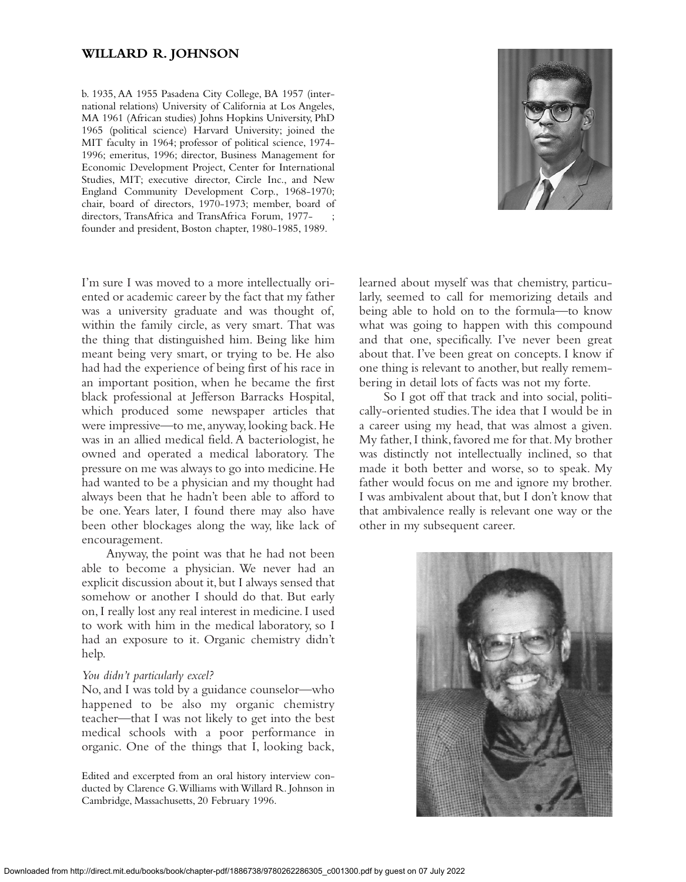## **WILLARD R. JOHNSON**

b. 1935, AA 1955 Pasadena City College, BA 1957 (international relations) University of California at Los Angeles, MA 1961 (African studies) Johns Hopkins University, PhD 1965 (political science) Harvard University; joined the MIT faculty in 1964; professor of political science, 1974- 1996; emeritus, 1996; director, Business Management for Economic Development Project, Center for International Studies, MIT; executive director, Circle Inc., and New England Community Development Corp., 1968-1970; chair, board of directors, 1970-1973; member, board of directors, TransAfrica and TransAfrica Forum, 1977founder and president, Boston chapter, 1980-1985, 1989.

I'm sure I was moved to a more intellectually oriented or academic career by the fact that my father was a university graduate and was thought of, within the family circle, as very smart. That was the thing that distinguished him. Being like him meant being very smart, or trying to be. He also had had the experience of being first of his race in an important position, when he became the first black professional at Jefferson Barracks Hospital, which produced some newspaper articles that were impressive—to me, anyway, looking back. He was in an allied medical field. A bacteriologist, he owned and operated a medical laboratory. The pressure on me was always to go into medicine.He had wanted to be a physician and my thought had always been that he hadn't been able to afford to be one. Years later, I found there may also have been other blockages along the way, like lack of encouragement.

Anyway, the point was that he had not been able to become a physician. We never had an explicit discussion about it, but I always sensed that somehow or another I should do that. But early on, I really lost any real interest in medicine. I used to work with him in the medical laboratory, so I had an exposure to it. Organic chemistry didn't help.

#### *You didn't particularly excel?*

No, and I was told by a guidance counselor—who happened to be also my organic chemistry teacher—that I was not likely to get into the best medical schools with a poor performance in organic. One of the things that I, looking back,

Edited and excerpted from an oral history interview conducted by Clarence G.Williams with Willard R. Johnson in Cambridge, Massachusetts, 20 February 1996.



learned about myself was that chemistry, particularly, seemed to call for memorizing details and being able to hold on to the formula—to know what was going to happen with this compound and that one, specifically. I've never been great about that. I've been great on concepts. I know if one thing is relevant to another, but really remembering in detail lots of facts was not my forte.

So I got off that track and into social, politically-oriented studies.The idea that I would be in a career using my head, that was almost a given. My father, I think, favored me for that. My brother was distinctly not intellectually inclined, so that made it both better and worse, so to speak. My father would focus on me and ignore my brother. I was ambivalent about that, but I don't know that that ambivalence really is relevant one way or the other in my subsequent career.

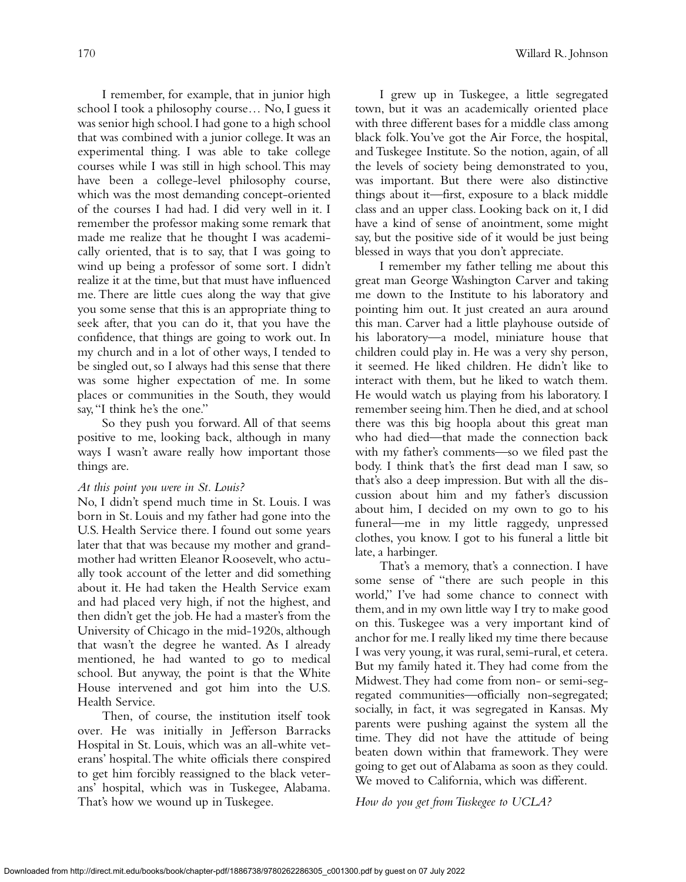I remember, for example, that in junior high school I took a philosophy course… No, I guess it was senior high school.I had gone to a high school that was combined with a junior college. It was an experimental thing. I was able to take college courses while I was still in high school.This may have been a college-level philosophy course, which was the most demanding concept-oriented of the courses I had had. I did very well in it. I remember the professor making some remark that made me realize that he thought I was academically oriented, that is to say, that I was going to wind up being a professor of some sort. I didn't realize it at the time, but that must have influenced me. There are little cues along the way that give you some sense that this is an appropriate thing to seek after, that you can do it, that you have the confidence, that things are going to work out. In my church and in a lot of other ways, I tended to be singled out, so I always had this sense that there was some higher expectation of me. In some places or communities in the South, they would say,"I think he's the one."

So they push you forward. All of that seems positive to me, looking back, although in many ways I wasn't aware really how important those things are.

## *At this point you were in St. Louis?*

No, I didn't spend much time in St. Louis. I was born in St. Louis and my father had gone into the U.S. Health Service there. I found out some years later that that was because my mother and grandmother had written Eleanor Roosevelt, who actually took account of the letter and did something about it. He had taken the Health Service exam and had placed very high, if not the highest, and then didn't get the job. He had a master's from the University of Chicago in the mid-1920s, although that wasn't the degree he wanted. As I already mentioned, he had wanted to go to medical school. But anyway, the point is that the White House intervened and got him into the U.S. Health Service.

Then, of course, the institution itself took over. He was initially in Jefferson Barracks Hospital in St. Louis, which was an all-white veterans' hospital.The white officials there conspired to get him forcibly reassigned to the black veterans' hospital, which was in Tuskegee, Alabama. That's how we wound up in Tuskegee.

I grew up in Tuskegee, a little segregated town, but it was an academically oriented place with three different bases for a middle class among black folk.You've got the Air Force, the hospital, and Tuskegee Institute. So the notion, again, of all the levels of society being demonstrated to you, was important. But there were also distinctive things about it—first, exposure to a black middle class and an upper class. Looking back on it, I did have a kind of sense of anointment, some might say, but the positive side of it would be just being blessed in ways that you don't appreciate.

I remember my father telling me about this great man George Washington Carver and taking me down to the Institute to his laboratory and pointing him out. It just created an aura around this man. Carver had a little playhouse outside of his laboratory—a model, miniature house that children could play in. He was a very shy person, it seemed. He liked children. He didn't like to interact with them, but he liked to watch them. He would watch us playing from his laboratory. I remember seeing him.Then he died, and at school there was this big hoopla about this great man who had died—that made the connection back with my father's comments—so we filed past the body. I think that's the first dead man I saw, so that's also a deep impression. But with all the discussion about him and my father's discussion about him, I decided on my own to go to his funeral—me in my little raggedy, unpressed clothes, you know. I got to his funeral a little bit late, a harbinger.

That's a memory, that's a connection. I have some sense of "there are such people in this world," I've had some chance to connect with them, and in my own little way I try to make good on this. Tuskegee was a very important kind of anchor for me. I really liked my time there because I was very young, it was rural, semi-rural, et cetera. But my family hated it.They had come from the Midwest.They had come from non- or semi-segregated communities—officially non-segregated; socially, in fact, it was segregated in Kansas. My parents were pushing against the system all the time. They did not have the attitude of being beaten down within that framework. They were going to get out of Alabama as soon as they could. We moved to California, which was different.

*How do you get from Tuskegee to UCLA?*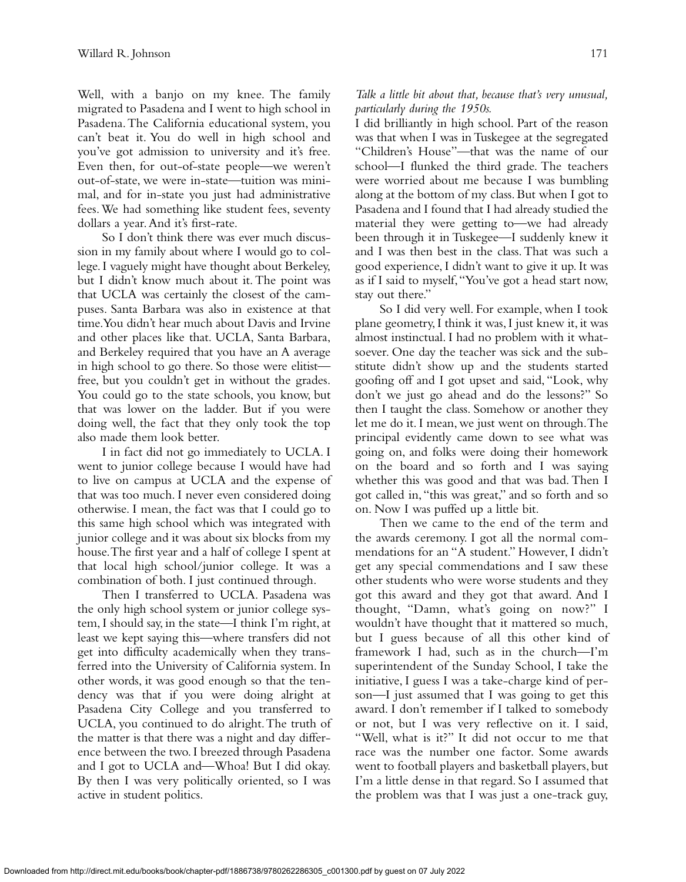Well, with a banjo on my knee. The family migrated to Pasadena and I went to high school in Pasadena.The California educational system, you can't beat it. You do well in high school and you've got admission to university and it's free. Even then, for out-of-state people—we weren't out-of-state, we were in-state—tuition was minimal, and for in-state you just had administrative fees.We had something like student fees, seventy dollars a year.And it's first-rate.

So I don't think there was ever much discussion in my family about where I would go to college. I vaguely might have thought about Berkeley, but I didn't know much about it. The point was that UCLA was certainly the closest of the campuses. Santa Barbara was also in existence at that time.You didn't hear much about Davis and Irvine and other places like that. UCLA, Santa Barbara, and Berkeley required that you have an A average in high school to go there. So those were elitist free, but you couldn't get in without the grades. You could go to the state schools, you know, but that was lower on the ladder. But if you were doing well, the fact that they only took the top also made them look better.

I in fact did not go immediately to UCLA. I went to junior college because I would have had to live on campus at UCLA and the expense of that was too much. I never even considered doing otherwise. I mean, the fact was that I could go to this same high school which was integrated with junior college and it was about six blocks from my house.The first year and a half of college I spent at that local high school/junior college. It was a combination of both. I just continued through.

Then I transferred to UCLA. Pasadena was the only high school system or junior college system, I should say, in the state—I think I'm right, at least we kept saying this—where transfers did not get into difficulty academically when they transferred into the University of California system. In other words, it was good enough so that the tendency was that if you were doing alright at Pasadena City College and you transferred to UCLA, you continued to do alright.The truth of the matter is that there was a night and day difference between the two. I breezed through Pasadena and I got to UCLA and—Whoa! But I did okay. By then I was very politically oriented, so I was active in student politics.

*Talk a little bit about that, because that's very unusual, particularly during the 1950s.*

I did brilliantly in high school. Part of the reason was that when I was in Tuskegee at the segregated "Children's House"—that was the name of our school—I flunked the third grade. The teachers were worried about me because I was bumbling along at the bottom of my class. But when I got to Pasadena and I found that I had already studied the material they were getting to—we had already been through it in Tuskegee—I suddenly knew it and I was then best in the class. That was such a good experience, I didn't want to give it up. It was as if I said to myself,"You've got a head start now, stay out there."

So I did very well. For example, when I took plane geometry, I think it was, I just knew it, it was almost instinctual. I had no problem with it whatsoever. One day the teacher was sick and the substitute didn't show up and the students started goofing off and I got upset and said, "Look, why don't we just go ahead and do the lessons?" So then I taught the class. Somehow or another they let me do it. I mean, we just went on through.The principal evidently came down to see what was going on, and folks were doing their homework on the board and so forth and I was saying whether this was good and that was bad. Then I got called in,"this was great," and so forth and so on. Now I was puffed up a little bit.

Then we came to the end of the term and the awards ceremony. I got all the normal commendations for an "A student." However, I didn't get any special commendations and I saw these other students who were worse students and they got this award and they got that award. And I thought, "Damn, what's going on now?" I wouldn't have thought that it mattered so much, but I guess because of all this other kind of framework I had, such as in the church—I'm superintendent of the Sunday School, I take the initiative, I guess I was a take-charge kind of person—I just assumed that I was going to get this award. I don't remember if I talked to somebody or not, but I was very reflective on it. I said, "Well, what is it?" It did not occur to me that race was the number one factor. Some awards went to football players and basketball players, but I'm a little dense in that regard. So I assumed that the problem was that I was just a one-track guy,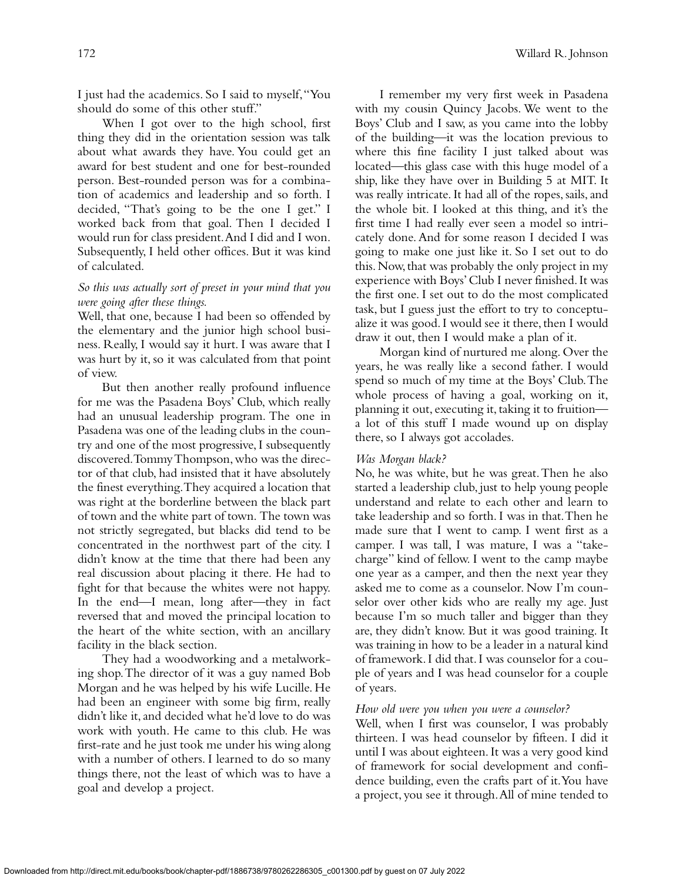I just had the academics. So I said to myself,"You should do some of this other stuff."

When I got over to the high school, first thing they did in the orientation session was talk about what awards they have. You could get an award for best student and one for best-rounded person. Best-rounded person was for a combination of academics and leadership and so forth. I decided, "That's going to be the one I get." I worked back from that goal. Then I decided I would run for class president.And I did and I won. Subsequently, I held other offices. But it was kind of calculated.

## *So this was actually sort of preset in your mind that you were going after these things.*

Well, that one, because I had been so offended by the elementary and the junior high school business. Really, I would say it hurt. I was aware that I was hurt by it, so it was calculated from that point of view.

But then another really profound influence for me was the Pasadena Boys' Club, which really had an unusual leadership program. The one in Pasadena was one of the leading clubs in the country and one of the most progressive, I subsequently discovered.Tommy Thompson,who was the director of that club, had insisted that it have absolutely the finest everything.They acquired a location that was right at the borderline between the black part of town and the white part of town. The town was not strictly segregated, but blacks did tend to be concentrated in the northwest part of the city. I didn't know at the time that there had been any real discussion about placing it there. He had to fight for that because the whites were not happy. In the end—I mean, long after—they in fact reversed that and moved the principal location to the heart of the white section, with an ancillary facility in the black section.

They had a woodworking and a metalworking shop.The director of it was a guy named Bob Morgan and he was helped by his wife Lucille. He had been an engineer with some big firm, really didn't like it, and decided what he'd love to do was work with youth. He came to this club. He was first-rate and he just took me under his wing along with a number of others. I learned to do so many things there, not the least of which was to have a goal and develop a project.

I remember my very first week in Pasadena with my cousin Quincy Jacobs. We went to the Boys' Club and I saw, as you came into the lobby of the building—it was the location previous to where this fine facility I just talked about was located—this glass case with this huge model of a ship, like they have over in Building 5 at MIT. It was really intricate. It had all of the ropes, sails, and the whole bit. I looked at this thing, and it's the first time I had really ever seen a model so intricately done. And for some reason I decided I was going to make one just like it. So I set out to do this.Now,that was probably the only project in my experience with Boys'Club I never finished.It was the first one. I set out to do the most complicated task, but I guess just the effort to try to conceptualize it was good. I would see it there, then I would draw it out, then I would make a plan of it.

Morgan kind of nurtured me along. Over the years, he was really like a second father. I would spend so much of my time at the Boys' Club.The whole process of having a goal, working on it, planning it out, executing it, taking it to fruition a lot of this stuff I made wound up on display there, so I always got accolades.

## *Was Morgan black?*

No, he was white, but he was great.Then he also started a leadership club, just to help young people understand and relate to each other and learn to take leadership and so forth. I was in that.Then he made sure that I went to camp. I went first as a camper. I was tall, I was mature, I was a "takecharge" kind of fellow. I went to the camp maybe one year as a camper, and then the next year they asked me to come as a counselor. Now I'm counselor over other kids who are really my age. Just because I'm so much taller and bigger than they are, they didn't know. But it was good training. It was training in how to be a leader in a natural kind of framework.I did that.I was counselor for a couple of years and I was head counselor for a couple of years.

#### *How old were you when you were a counselor?*

Well, when I first was counselor, I was probably thirteen. I was head counselor by fifteen. I did it until I was about eighteen. It was a very good kind of framework for social development and confidence building, even the crafts part of it.You have a project, you see it through.All of mine tended to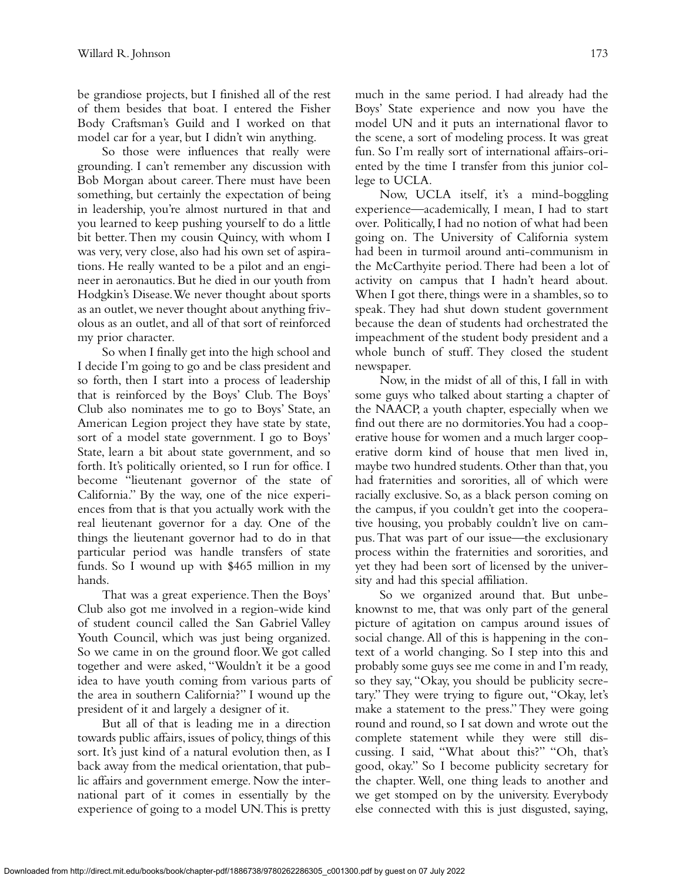be grandiose projects, but I finished all of the rest of them besides that boat. I entered the Fisher Body Craftsman's Guild and I worked on that model car for a year, but I didn't win anything.

So those were influences that really were grounding. I can't remember any discussion with Bob Morgan about career.There must have been something, but certainly the expectation of being in leadership, you're almost nurtured in that and you learned to keep pushing yourself to do a little bit better.Then my cousin Quincy, with whom I was very, very close, also had his own set of aspirations. He really wanted to be a pilot and an engineer in aeronautics. But he died in our youth from Hodgkin's Disease.We never thought about sports as an outlet,we never thought about anything frivolous as an outlet, and all of that sort of reinforced my prior character.

So when I finally get into the high school and I decide I'm going to go and be class president and so forth, then I start into a process of leadership that is reinforced by the Boys' Club. The Boys' Club also nominates me to go to Boys' State, an American Legion project they have state by state, sort of a model state government. I go to Boys' State, learn a bit about state government, and so forth. It's politically oriented, so I run for office. I become "lieutenant governor of the state of California." By the way, one of the nice experiences from that is that you actually work with the real lieutenant governor for a day. One of the things the lieutenant governor had to do in that particular period was handle transfers of state funds. So I wound up with \$465 million in my hands.

That was a great experience.Then the Boys' Club also got me involved in a region-wide kind of student council called the San Gabriel Valley Youth Council, which was just being organized. So we came in on the ground floor.We got called together and were asked, "Wouldn't it be a good idea to have youth coming from various parts of the area in southern California?" I wound up the president of it and largely a designer of it.

But all of that is leading me in a direction towards public affairs, issues of policy, things of this sort. It's just kind of a natural evolution then, as I back away from the medical orientation, that public affairs and government emerge. Now the international part of it comes in essentially by the experience of going to a model UN.This is pretty much in the same period. I had already had the Boys' State experience and now you have the model UN and it puts an international flavor to the scene, a sort of modeling process. It was great fun. So I'm really sort of international affairs-oriented by the time I transfer from this junior college to UCLA.

Now, UCLA itself, it's a mind-boggling experience—academically, I mean, I had to start over. Politically, I had no notion of what had been going on. The University of California system had been in turmoil around anti-communism in the McCarthyite period.There had been a lot of activity on campus that I hadn't heard about. When I got there, things were in a shambles, so to speak. They had shut down student government because the dean of students had orchestrated the impeachment of the student body president and a whole bunch of stuff. They closed the student newspaper.

Now, in the midst of all of this, I fall in with some guys who talked about starting a chapter of the NAACP, a youth chapter, especially when we find out there are no dormitories.You had a cooperative house for women and a much larger cooperative dorm kind of house that men lived in, maybe two hundred students. Other than that, you had fraternities and sororities, all of which were racially exclusive. So, as a black person coming on the campus, if you couldn't get into the cooperative housing, you probably couldn't live on campus.That was part of our issue—the exclusionary process within the fraternities and sororities, and yet they had been sort of licensed by the university and had this special affiliation.

So we organized around that. But unbeknownst to me, that was only part of the general picture of agitation on campus around issues of social change.All of this is happening in the context of a world changing. So I step into this and probably some guys see me come in and I'm ready, so they say,"Okay, you should be publicity secretary." They were trying to figure out, "Okay, let's make a statement to the press." They were going round and round, so I sat down and wrote out the complete statement while they were still discussing. I said, "What about this?" "Oh, that's good, okay." So I become publicity secretary for the chapter. Well, one thing leads to another and we get stomped on by the university. Everybody else connected with this is just disgusted, saying,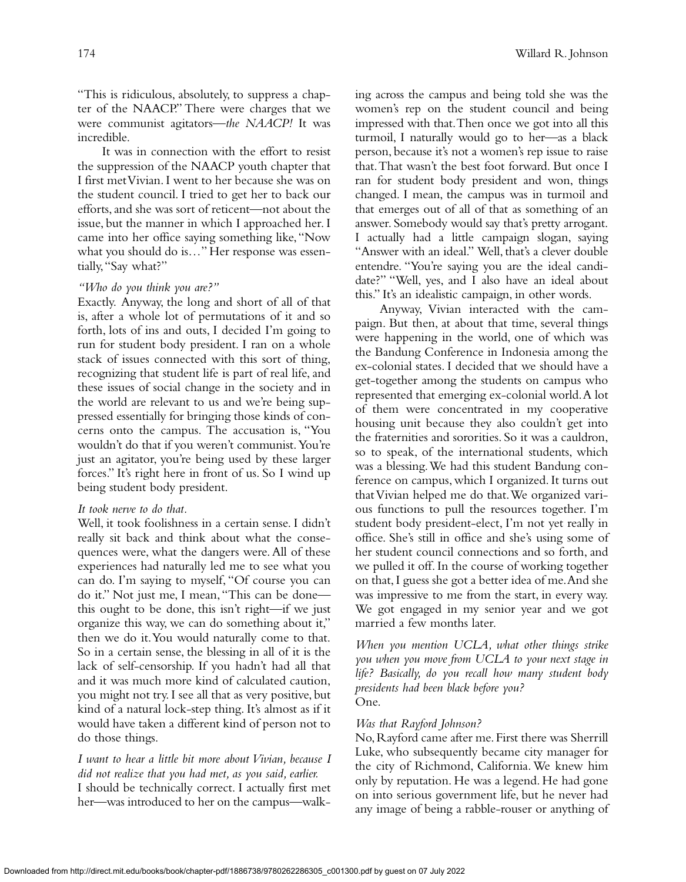"This is ridiculous, absolutely, to suppress a chapter of the NAACP." There were charges that we were communist agitators—*the NAACP!* It was incredible.

It was in connection with the effort to resist the suppression of the NAACP youth chapter that I first met Vivian. I went to her because she was on the student council. I tried to get her to back our efforts, and she was sort of reticent—not about the issue, but the manner in which I approached her. I came into her office saying something like,"Now what you should do is…" Her response was essentially,"Say what?"

#### *"Who do you think you are?"*

Exactly. Anyway, the long and short of all of that is, after a whole lot of permutations of it and so forth, lots of ins and outs, I decided I'm going to run for student body president. I ran on a whole stack of issues connected with this sort of thing, recognizing that student life is part of real life, and these issues of social change in the society and in the world are relevant to us and we're being suppressed essentially for bringing those kinds of concerns onto the campus. The accusation is, "You wouldn't do that if you weren't communist.You're just an agitator, you're being used by these larger forces." It's right here in front of us. So I wind up being student body president.

#### *It took nerve to do that.*

Well, it took foolishness in a certain sense. I didn't really sit back and think about what the consequences were, what the dangers were.All of these experiences had naturally led me to see what you can do. I'm saying to myself, "Of course you can do it." Not just me, I mean,"This can be done this ought to be done, this isn't right—if we just organize this way, we can do something about it," then we do it.You would naturally come to that. So in a certain sense, the blessing in all of it is the lack of self-censorship. If you hadn't had all that and it was much more kind of calculated caution, you might not try. I see all that as very positive, but kind of a natural lock-step thing. It's almost as if it would have taken a different kind of person not to do those things.

*I want to hear a little bit more about Vivian, because I did not realize that you had met, as you said, earlier.* I should be technically correct. I actually first met her—was introduced to her on the campus—walking across the campus and being told she was the women's rep on the student council and being impressed with that.Then once we got into all this turmoil, I naturally would go to her—as a black person, because it's not a women's rep issue to raise that.That wasn't the best foot forward. But once I ran for student body president and won, things changed. I mean, the campus was in turmoil and that emerges out of all of that as something of an answer. Somebody would say that's pretty arrogant. I actually had a little campaign slogan, saying "Answer with an ideal." Well, that's a clever double entendre. "You're saying you are the ideal candidate?" "Well, yes, and I also have an ideal about this." It's an idealistic campaign, in other words.

Anyway, Vivian interacted with the campaign. But then, at about that time, several things were happening in the world, one of which was the Bandung Conference in Indonesia among the ex-colonial states. I decided that we should have a get-together among the students on campus who represented that emerging ex-colonial world.A lot of them were concentrated in my cooperative housing unit because they also couldn't get into the fraternities and sororities. So it was a cauldron, so to speak, of the international students, which was a blessing.We had this student Bandung conference on campus, which I organized. It turns out that Vivian helped me do that.We organized various functions to pull the resources together. I'm student body president-elect, I'm not yet really in office. She's still in office and she's using some of her student council connections and so forth, and we pulled it off. In the course of working together on that,I guess she got a better idea of me.And she was impressive to me from the start, in every way. We got engaged in my senior year and we got married a few months later.

*When you mention UCLA, what other things strike you when you move from UCLA to your next stage in life? Basically, do you recall how many student body presidents had been black before you?* One.

#### *Was that Rayford Johnson?*

No,Rayford came after me.First there was Sherrill Luke, who subsequently became city manager for the city of Richmond, California. We knew him only by reputation. He was a legend. He had gone on into serious government life, but he never had any image of being a rabble-rouser or anything of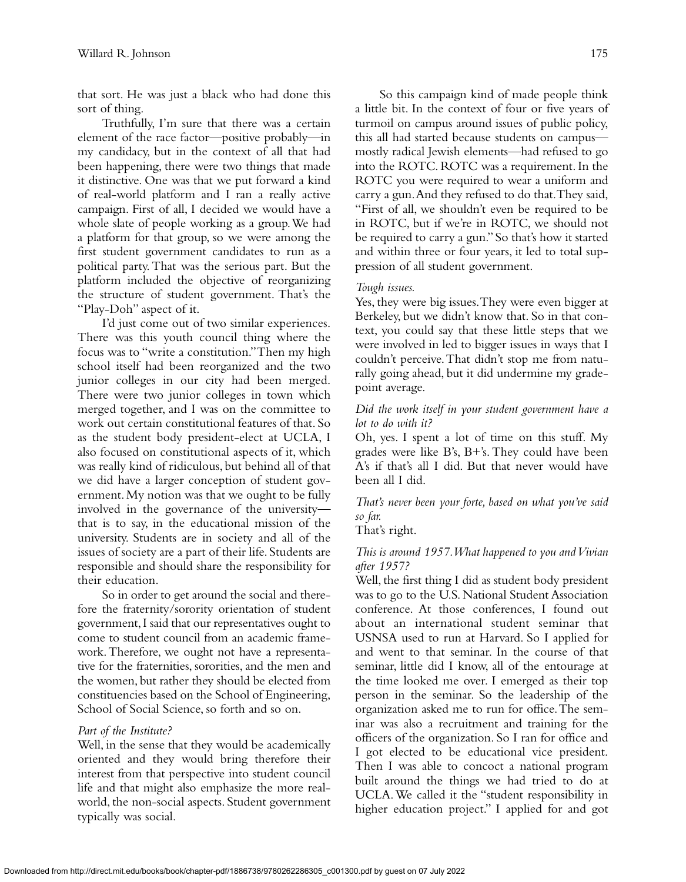that sort. He was just a black who had done this sort of thing.

Truthfully, I'm sure that there was a certain element of the race factor—positive probably—in my candidacy, but in the context of all that had been happening, there were two things that made it distinctive. One was that we put forward a kind of real-world platform and I ran a really active campaign. First of all, I decided we would have a whole slate of people working as a group.We had a platform for that group, so we were among the first student government candidates to run as a political party. That was the serious part. But the platform included the objective of reorganizing the structure of student government. That's the "Play-Doh" aspect of it.

I'd just come out of two similar experiences. There was this youth council thing where the focus was to "write a constitution."Then my high school itself had been reorganized and the two junior colleges in our city had been merged. There were two junior colleges in town which merged together, and I was on the committee to work out certain constitutional features of that. So as the student body president-elect at UCLA, I also focused on constitutional aspects of it, which was really kind of ridiculous, but behind all of that we did have a larger conception of student government. My notion was that we ought to be fully involved in the governance of the university that is to say, in the educational mission of the university. Students are in society and all of the issues of society are a part of their life. Students are responsible and should share the responsibility for their education.

So in order to get around the social and therefore the fraternity/sorority orientation of student government,I said that our representatives ought to come to student council from an academic framework.Therefore, we ought not have a representative for the fraternities, sororities, and the men and the women, but rather they should be elected from constituencies based on the School of Engineering, School of Social Science, so forth and so on.

## *Part of the Institute?*

Well, in the sense that they would be academically oriented and they would bring therefore their interest from that perspective into student council life and that might also emphasize the more realworld, the non-social aspects. Student government typically was social.

So this campaign kind of made people think a little bit. In the context of four or five years of turmoil on campus around issues of public policy, this all had started because students on campus mostly radical Jewish elements—had refused to go into the ROTC. ROTC was a requirement. In the ROTC you were required to wear a uniform and carry a gun.And they refused to do that.They said, "First of all, we shouldn't even be required to be in ROTC, but if we're in ROTC, we should not be required to carry a gun." So that's how it started and within three or four years, it led to total suppression of all student government.

## *Tough issues.*

Yes, they were big issues.They were even bigger at Berkeley, but we didn't know that. So in that context, you could say that these little steps that we were involved in led to bigger issues in ways that I couldn't perceive.That didn't stop me from naturally going ahead, but it did undermine my gradepoint average.

## *Did the work itself in your student government have a lot to do with it?*

Oh, yes. I spent a lot of time on this stuff. My grades were like B's, B+'s. They could have been A's if that's all I did. But that never would have been all I did.

## *That's never been your forte, based on what you've said so far.*

That's right.

## *This is around 1957.What happened to you and Vivian after 1957?*

Well, the first thing I did as student body president was to go to the U.S. National Student Association conference. At those conferences, I found out about an international student seminar that USNSA used to run at Harvard. So I applied for and went to that seminar. In the course of that seminar, little did I know, all of the entourage at the time looked me over. I emerged as their top person in the seminar. So the leadership of the organization asked me to run for office.The seminar was also a recruitment and training for the officers of the organization. So I ran for office and I got elected to be educational vice president. Then I was able to concoct a national program built around the things we had tried to do at UCLA.We called it the "student responsibility in higher education project." I applied for and got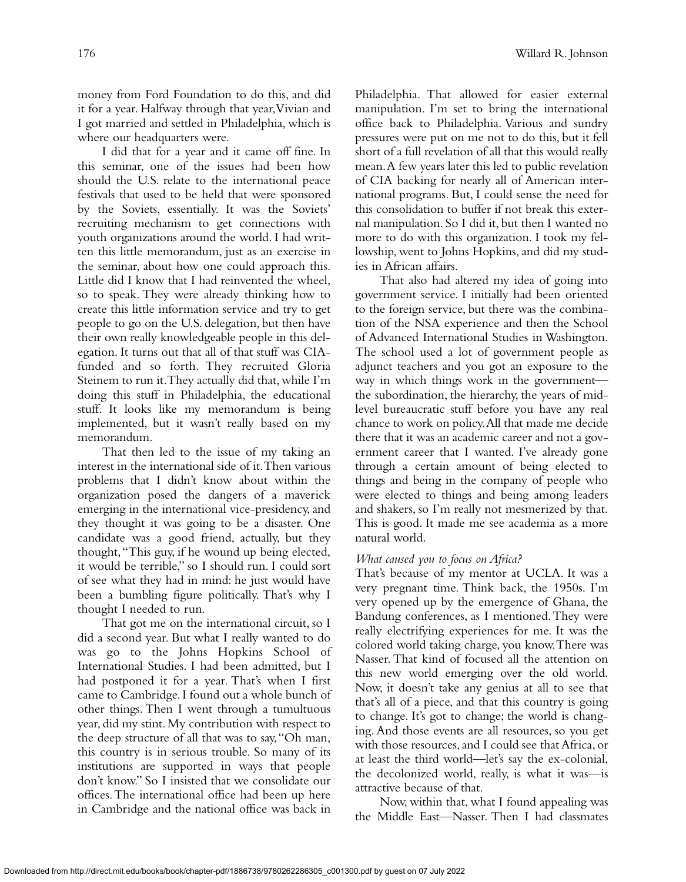money from Ford Foundation to do this, and did it for a year. Halfway through that year,Vivian and I got married and settled in Philadelphia, which is where our headquarters were.

I did that for a year and it came off fine. In this seminar, one of the issues had been how should the U.S. relate to the international peace festivals that used to be held that were sponsored by the Soviets, essentially. It was the Soviets' recruiting mechanism to get connections with youth organizations around the world. I had written this little memorandum, just as an exercise in the seminar, about how one could approach this. Little did I know that I had reinvented the wheel, so to speak. They were already thinking how to create this little information service and try to get people to go on the U.S. delegation, but then have their own really knowledgeable people in this delegation. It turns out that all of that stuff was CIAfunded and so forth. They recruited Gloria Steinem to run it. They actually did that, while I'm doing this stuff in Philadelphia, the educational stuff. It looks like my memorandum is being implemented, but it wasn't really based on my memorandum.

That then led to the issue of my taking an interest in the international side of it.Then various problems that I didn't know about within the organization posed the dangers of a maverick emerging in the international vice-presidency, and they thought it was going to be a disaster. One candidate was a good friend, actually, but they thought,"This guy, if he wound up being elected, it would be terrible," so I should run. I could sort of see what they had in mind: he just would have been a bumbling figure politically. That's why I thought I needed to run.

That got me on the international circuit, so I did a second year. But what I really wanted to do was go to the Johns Hopkins School of International Studies. I had been admitted, but I had postponed it for a year. That's when I first came to Cambridge.I found out a whole bunch of other things. Then I went through a tumultuous year, did my stint. My contribution with respect to the deep structure of all that was to say,"Oh man, this country is in serious trouble. So many of its institutions are supported in ways that people don't know." So I insisted that we consolidate our offices.The international office had been up here in Cambridge and the national office was back in

Philadelphia. That allowed for easier external manipulation. I'm set to bring the international office back to Philadelphia. Various and sundry pressures were put on me not to do this, but it fell short of a full revelation of all that this would really mean.A few years later this led to public revelation of CIA backing for nearly all of American international programs. But, I could sense the need for this consolidation to buffer if not break this external manipulation. So I did it, but then I wanted no more to do with this organization. I took my fellowship, went to Johns Hopkins, and did my studies in African affairs.

That also had altered my idea of going into government service. I initially had been oriented to the foreign service, but there was the combination of the NSA experience and then the School of Advanced International Studies in Washington. The school used a lot of government people as adjunct teachers and you got an exposure to the way in which things work in the government the subordination, the hierarchy, the years of midlevel bureaucratic stuff before you have any real chance to work on policy.All that made me decide there that it was an academic career and not a government career that I wanted. I've already gone through a certain amount of being elected to things and being in the company of people who were elected to things and being among leaders and shakers, so I'm really not mesmerized by that. This is good. It made me see academia as a more natural world.

### *What caused you to focus on Africa?*

That's because of my mentor at UCLA. It was a very pregnant time. Think back, the 1950s. I'm very opened up by the emergence of Ghana, the Bandung conferences, as I mentioned.They were really electrifying experiences for me. It was the colored world taking charge, you know.There was Nasser. That kind of focused all the attention on this new world emerging over the old world. Now, it doesn't take any genius at all to see that that's all of a piece, and that this country is going to change. It's got to change; the world is changing. And those events are all resources, so you get with those resources, and I could see that Africa, or at least the third world—let's say the ex-colonial, the decolonized world, really, is what it was—is attractive because of that.

Now, within that, what I found appealing was the Middle East—Nasser. Then I had classmates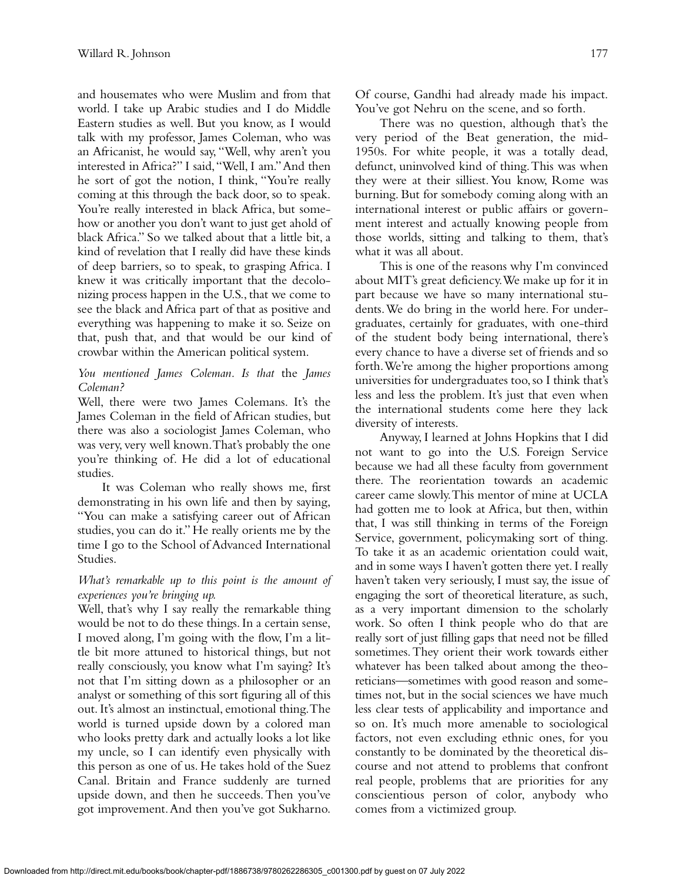and housemates who were Muslim and from that world. I take up Arabic studies and I do Middle Eastern studies as well. But you know, as I would talk with my professor, James Coleman, who was an Africanist, he would say, "Well, why aren't you interested in Africa?" I said,"Well, I am."And then he sort of got the notion, I think, "You're really coming at this through the back door, so to speak. You're really interested in black Africa, but somehow or another you don't want to just get ahold of black Africa." So we talked about that a little bit, a kind of revelation that I really did have these kinds of deep barriers, so to speak, to grasping Africa. I knew it was critically important that the decolonizing process happen in the U.S., that we come to see the black and Africa part of that as positive and everything was happening to make it so. Seize on that, push that, and that would be our kind of crowbar within the American political system.

## *You mentioned James Coleman. Is that* the *James Coleman?*

Well, there were two James Colemans. It's the James Coleman in the field of African studies, but there was also a sociologist James Coleman, who was very, very well known.That's probably the one you're thinking of. He did a lot of educational studies.

It was Coleman who really shows me, first demonstrating in his own life and then by saying, "You can make a satisfying career out of African studies, you can do it." He really orients me by the time I go to the School of Advanced International Studies.

## *What's remarkable up to this point is the amount of experiences you're bringing up.*

Well, that's why I say really the remarkable thing would be not to do these things. In a certain sense, I moved along, I'm going with the flow, I'm a little bit more attuned to historical things, but not really consciously, you know what I'm saying? It's not that I'm sitting down as a philosopher or an analyst or something of this sort figuring all of this out. It's almost an instinctual, emotional thing.The world is turned upside down by a colored man who looks pretty dark and actually looks a lot like my uncle, so I can identify even physically with this person as one of us. He takes hold of the Suez Canal. Britain and France suddenly are turned upside down, and then he succeeds. Then you've got improvement.And then you've got Sukharno.

You've got Nehru on the scene, and so forth. There was no question, although that's the very period of the Beat generation, the mid-1950s. For white people, it was a totally dead, defunct, uninvolved kind of thing.This was when they were at their silliest. You know, Rome was burning. But for somebody coming along with an international interest or public affairs or government interest and actually knowing people from those worlds, sitting and talking to them, that's what it was all about.

This is one of the reasons why I'm convinced about MIT's great deficiency.We make up for it in part because we have so many international students.We do bring in the world here. For undergraduates, certainly for graduates, with one-third of the student body being international, there's every chance to have a diverse set of friends and so forth.We're among the higher proportions among universities for undergraduates too,so I think that's less and less the problem. It's just that even when the international students come here they lack diversity of interests.

Anyway, I learned at Johns Hopkins that I did not want to go into the U.S. Foreign Service because we had all these faculty from government there. The reorientation towards an academic career came slowly.This mentor of mine at UCLA had gotten me to look at Africa, but then, within that, I was still thinking in terms of the Foreign Service, government, policymaking sort of thing. To take it as an academic orientation could wait, and in some ways I haven't gotten there yet. I really haven't taken very seriously, I must say, the issue of engaging the sort of theoretical literature, as such, as a very important dimension to the scholarly work. So often I think people who do that are really sort of just filling gaps that need not be filled sometimes.They orient their work towards either whatever has been talked about among the theoreticians—sometimes with good reason and sometimes not, but in the social sciences we have much less clear tests of applicability and importance and so on. It's much more amenable to sociological factors, not even excluding ethnic ones, for you constantly to be dominated by the theoretical discourse and not attend to problems that confront real people, problems that are priorities for any conscientious person of color, anybody who comes from a victimized group.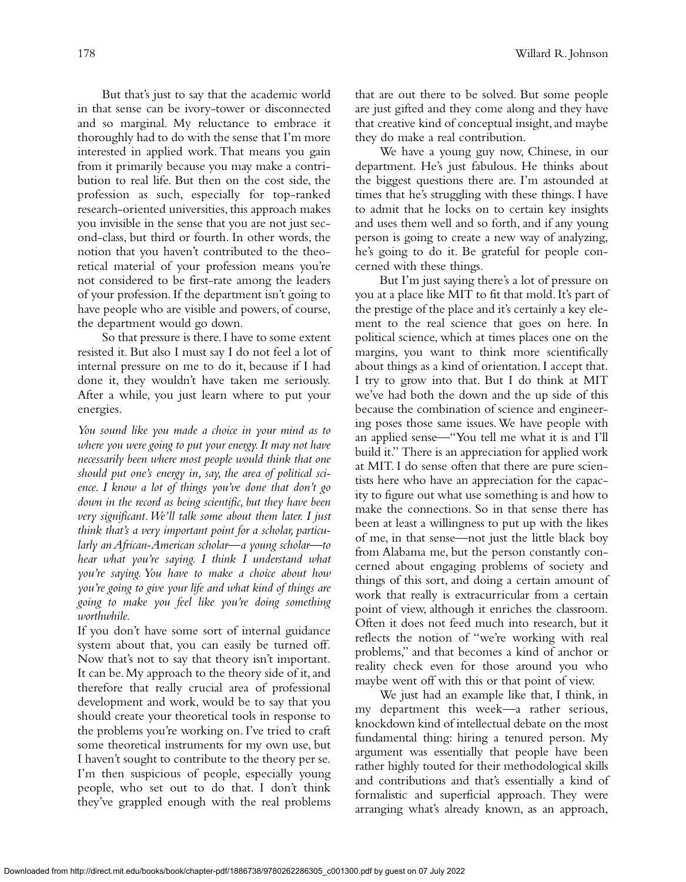But that's just to say that the academic world in that sense can be ivory-tower or disconnected and so marginal. My reluctance to embrace it thoroughly had to do with the sense that I'm more interested in applied work. That means you gain from it primarily because you may make a contribution to real life. But then on the cost side, the profession as such, especially for top-ranked research-oriented universities, this approach makes you invisible in the sense that you are not just second-class, but third or fourth. In other words, the notion that you haven't contributed to the theoretical material of your profession means you're not considered to be first-rate among the leaders of your profession. If the department isn't going to have people who are visible and powers, of course, the department would go down.

So that pressure is there.I have to some extent resisted it. But also I must say I do not feel a lot of internal pressure on me to do it, because if I had done it, they wouldn't have taken me seriously. After a while, you just learn where to put your energies.

*You sound like you made a choice in your mind as to where you were going to put your energy.It may not have necessarily been where most people would think that one should put one's energy in, say, the area of political science. I know a lot of things you've done that don't go down in the record as being scientific, but they have been very significant.We'll talk some about them later. I just think that's a very important point for a scholar, particularly an African-American scholar—a young scholar—to hear what you're saying. I think I understand what you're saying. You have to make a choice about how you're going to give your life and what kind of things are going to make you feel like you're doing something worthwhile.*

If you don't have some sort of internal guidance system about that, you can easily be turned off. Now that's not to say that theory isn't important. It can be. My approach to the theory side of it, and therefore that really crucial area of professional development and work, would be to say that you should create your theoretical tools in response to the problems you're working on. I've tried to craft some theoretical instruments for my own use, but I haven't sought to contribute to the theory per se. I'm then suspicious of people, especially young people, who set out to do that. I don't think they've grappled enough with the real problems

178 Willard R. Johnson

that are out there to be solved. But some people are just gifted and they come along and they have that creative kind of conceptual insight, and maybe they do make a real contribution.

We have a young guy now, Chinese, in our department. He's just fabulous. He thinks about the biggest questions there are. I'm astounded at times that he's struggling with these things. I have to admit that he locks on to certain key insights and uses them well and so forth, and if any young person is going to create a new way of analyzing, he's going to do it. Be grateful for people concerned with these things.

But I'm just saying there's a lot of pressure on you at a place like MIT to fit that mold. It's part of the prestige of the place and it's certainly a key element to the real science that goes on here. In political science, which at times places one on the margins, you want to think more scientifically about things as a kind of orientation. I accept that. I try to grow into that. But I do think at MIT we've had both the down and the up side of this because the combination of science and engineering poses those same issues.We have people with an applied sense—"You tell me what it is and I'll build it." There is an appreciation for applied work at MIT. I do sense often that there are pure scientists here who have an appreciation for the capacity to figure out what use something is and how to make the connections. So in that sense there has been at least a willingness to put up with the likes of me, in that sense—not just the little black boy from Alabama me, but the person constantly concerned about engaging problems of society and things of this sort, and doing a certain amount of work that really is extracurricular from a certain point of view, although it enriches the classroom. Often it does not feed much into research, but it reflects the notion of "we're working with real problems," and that becomes a kind of anchor or reality check even for those around you who maybe went off with this or that point of view.

We just had an example like that, I think, in my department this week—a rather serious, knockdown kind of intellectual debate on the most fundamental thing: hiring a tenured person. My argument was essentially that people have been rather highly touted for their methodological skills and contributions and that's essentially a kind of formalistic and superficial approach. They were arranging what's already known, as an approach,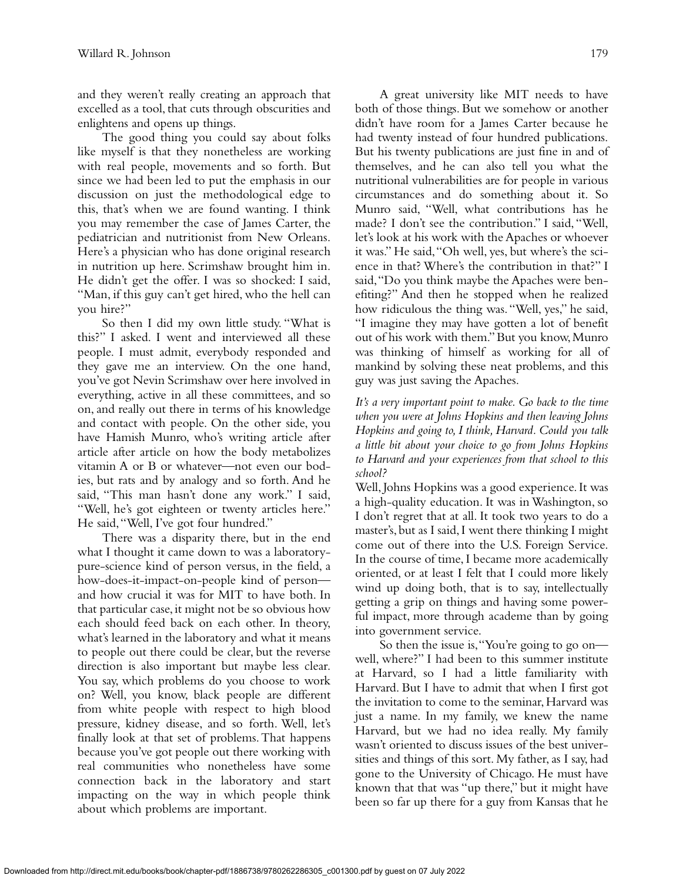and they weren't really creating an approach that excelled as a tool, that cuts through obscurities and enlightens and opens up things.

The good thing you could say about folks like myself is that they nonetheless are working with real people, movements and so forth. But since we had been led to put the emphasis in our discussion on just the methodological edge to this, that's when we are found wanting. I think you may remember the case of James Carter, the pediatrician and nutritionist from New Orleans. Here's a physician who has done original research in nutrition up here. Scrimshaw brought him in. He didn't get the offer. I was so shocked: I said, "Man, if this guy can't get hired, who the hell can you hire?"

So then I did my own little study. "What is this?" I asked. I went and interviewed all these people. I must admit, everybody responded and they gave me an interview. On the one hand, you've got Nevin Scrimshaw over here involved in everything, active in all these committees, and so on, and really out there in terms of his knowledge and contact with people. On the other side, you have Hamish Munro, who's writing article after article after article on how the body metabolizes vitamin A or B or whatever—not even our bodies, but rats and by analogy and so forth. And he said, "This man hasn't done any work." I said, "Well, he's got eighteen or twenty articles here." He said,"Well, I've got four hundred."

There was a disparity there, but in the end what I thought it came down to was a laboratorypure-science kind of person versus, in the field, a how-does-it-impact-on-people kind of person and how crucial it was for MIT to have both. In that particular case, it might not be so obvious how each should feed back on each other. In theory, what's learned in the laboratory and what it means to people out there could be clear, but the reverse direction is also important but maybe less clear. You say, which problems do you choose to work on? Well, you know, black people are different from white people with respect to high blood pressure, kidney disease, and so forth. Well, let's finally look at that set of problems.That happens because you've got people out there working with real communities who nonetheless have some connection back in the laboratory and start impacting on the way in which people think about which problems are important.

A great university like MIT needs to have both of those things. But we somehow or another didn't have room for a James Carter because he had twenty instead of four hundred publications. But his twenty publications are just fine in and of themselves, and he can also tell you what the nutritional vulnerabilities are for people in various circumstances and do something about it. So Munro said, "Well, what contributions has he made? I don't see the contribution." I said,"Well, let's look at his work with the Apaches or whoever it was." He said,"Oh well, yes, but where's the science in that? Where's the contribution in that?" I said,"Do you think maybe the Apaches were benefiting?" And then he stopped when he realized how ridiculous the thing was."Well, yes," he said, "I imagine they may have gotten a lot of benefit out of his work with them."But you know,Munro was thinking of himself as working for all of mankind by solving these neat problems, and this guy was just saving the Apaches.

*It's a very important point to make. Go back to the time when you were at Johns Hopkins and then leaving Johns Hopkins and going to, I think, Harvard. Could you talk a little bit about your choice to go from Johns Hopkins to Harvard and your experiences from that school to this school?*

Well, Johns Hopkins was a good experience. It was a high-quality education. It was in Washington, so I don't regret that at all. It took two years to do a master's,but as I said,I went there thinking I might come out of there into the U.S. Foreign Service. In the course of time, I became more academically oriented, or at least I felt that I could more likely wind up doing both, that is to say, intellectually getting a grip on things and having some powerful impact, more through academe than by going into government service.

So then the issue is,"You're going to go on well, where?" I had been to this summer institute at Harvard, so I had a little familiarity with Harvard. But I have to admit that when I first got the invitation to come to the seminar, Harvard was just a name. In my family, we knew the name Harvard, but we had no idea really. My family wasn't oriented to discuss issues of the best universities and things of this sort. My father, as I say, had gone to the University of Chicago. He must have known that that was "up there," but it might have been so far up there for a guy from Kansas that he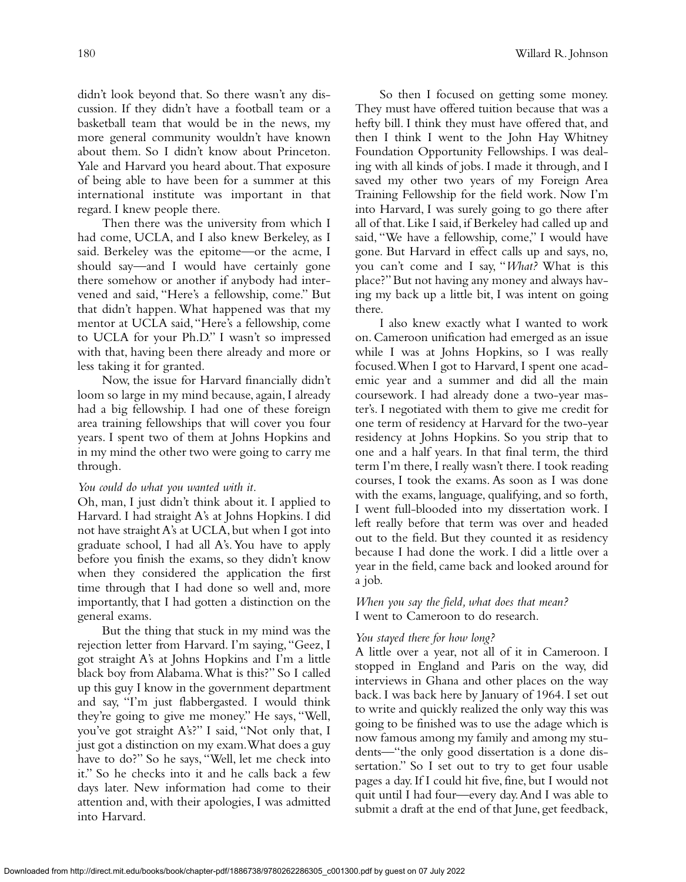didn't look beyond that. So there wasn't any discussion. If they didn't have a football team or a basketball team that would be in the news, my more general community wouldn't have known about them. So I didn't know about Princeton. Yale and Harvard you heard about.That exposure of being able to have been for a summer at this international institute was important in that regard. I knew people there.

Then there was the university from which I had come, UCLA, and I also knew Berkeley, as I said. Berkeley was the epitome—or the acme, I should say—and I would have certainly gone there somehow or another if anybody had intervened and said, "Here's a fellowship, come." But that didn't happen. What happened was that my mentor at UCLA said,"Here's a fellowship, come to UCLA for your Ph.D." I wasn't so impressed with that, having been there already and more or less taking it for granted.

Now, the issue for Harvard financially didn't loom so large in my mind because, again, I already had a big fellowship. I had one of these foreign area training fellowships that will cover you four years. I spent two of them at Johns Hopkins and in my mind the other two were going to carry me through.

#### *You could do what you wanted with it.*

Oh, man, I just didn't think about it. I applied to Harvard. I had straight A's at Johns Hopkins. I did not have straight A's at UCLA, but when I got into graduate school, I had all A's.You have to apply before you finish the exams, so they didn't know when they considered the application the first time through that I had done so well and, more importantly, that I had gotten a distinction on the general exams.

But the thing that stuck in my mind was the rejection letter from Harvard. I'm saying,"Geez, I got straight A's at Johns Hopkins and I'm a little black boy from Alabama.What is this?" So I called up this guy I know in the government department and say, "I'm just flabbergasted. I would think they're going to give me money." He says, "Well, you've got straight A's?" I said, "Not only that, I just got a distinction on my exam.What does a guy have to do?" So he says,"Well, let me check into it." So he checks into it and he calls back a few days later. New information had come to their attention and, with their apologies, I was admitted into Harvard.

So then I focused on getting some money. They must have offered tuition because that was a hefty bill. I think they must have offered that, and then I think I went to the John Hay Whitney Foundation Opportunity Fellowships. I was dealing with all kinds of jobs. I made it through, and I saved my other two years of my Foreign Area Training Fellowship for the field work. Now I'm into Harvard, I was surely going to go there after all of that. Like I said, if Berkeley had called up and said, "We have a fellowship, come," I would have gone. But Harvard in effect calls up and says, no, you can't come and I say, "*What?* What is this place?"But not having any money and always having my back up a little bit, I was intent on going there.

I also knew exactly what I wanted to work on. Cameroon unification had emerged as an issue while I was at Johns Hopkins, so I was really focused.When I got to Harvard, I spent one academic year and a summer and did all the main coursework. I had already done a two-year master's. I negotiated with them to give me credit for one term of residency at Harvard for the two-year residency at Johns Hopkins. So you strip that to one and a half years. In that final term, the third term I'm there, I really wasn't there. I took reading courses, I took the exams. As soon as I was done with the exams, language, qualifying, and so forth, I went full-blooded into my dissertation work. I left really before that term was over and headed out to the field. But they counted it as residency because I had done the work. I did a little over a year in the field, came back and looked around for a job.

## *When you say the field, what does that mean?* I went to Cameroon to do research.

## *You stayed there for how long?*

A little over a year, not all of it in Cameroon. I stopped in England and Paris on the way, did interviews in Ghana and other places on the way back. I was back here by January of 1964. I set out to write and quickly realized the only way this was going to be finished was to use the adage which is now famous among my family and among my students—"the only good dissertation is a done dissertation." So I set out to try to get four usable pages a day. If I could hit five, fine, but I would not quit until I had four—every day.And I was able to submit a draft at the end of that June, get feedback,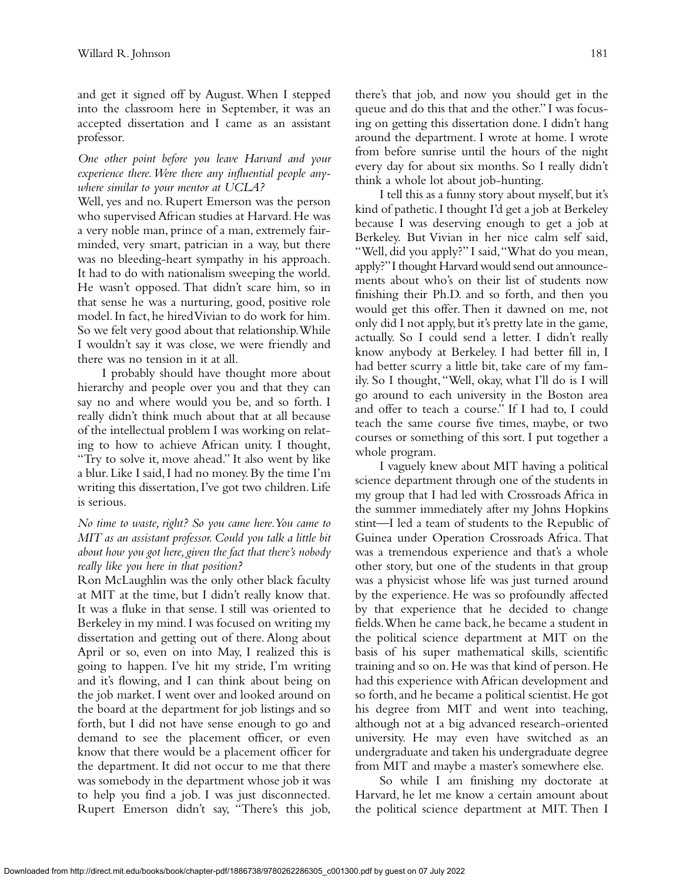and get it signed off by August. When I stepped into the classroom here in September, it was an accepted dissertation and I came as an assistant professor.

# *One other point before you leave Harvard and your experience there.Were there any influential people anywhere similar to your mentor at UCLA?*

Well, yes and no. Rupert Emerson was the person who supervised African studies at Harvard. He was a very noble man, prince of a man, extremely fairminded, very smart, patrician in a way, but there was no bleeding-heart sympathy in his approach. It had to do with nationalism sweeping the world. He wasn't opposed. That didn't scare him, so in that sense he was a nurturing, good, positive role model. In fact, he hired Vivian to do work for him. So we felt very good about that relationship.While I wouldn't say it was close, we were friendly and there was no tension in it at all.

I probably should have thought more about hierarchy and people over you and that they can say no and where would you be, and so forth. I really didn't think much about that at all because of the intellectual problem I was working on relating to how to achieve African unity. I thought, "Try to solve it, move ahead." It also went by like a blur. Like I said, I had no money. By the time I'm writing this dissertation, I've got two children. Life is serious.

*No time to waste, right? So you came here.You came to MIT as an assistant professor. Could you talk a little bit about how you got here, given the fact that there's nobody really like you here in that position?*

Ron McLaughlin was the only other black faculty at MIT at the time, but I didn't really know that. It was a fluke in that sense. I still was oriented to Berkeley in my mind.I was focused on writing my dissertation and getting out of there. Along about April or so, even on into May, I realized this is going to happen. I've hit my stride, I'm writing and it's flowing, and I can think about being on the job market. I went over and looked around on the board at the department for job listings and so forth, but I did not have sense enough to go and demand to see the placement officer, or even know that there would be a placement officer for the department. It did not occur to me that there was somebody in the department whose job it was to help you find a job. I was just disconnected. Rupert Emerson didn't say, "There's this job, there's that job, and now you should get in the queue and do this that and the other." I was focusing on getting this dissertation done. I didn't hang around the department. I wrote at home. I wrote from before sunrise until the hours of the night every day for about six months. So I really didn't think a whole lot about job-hunting.

I tell this as a funny story about myself, but it's kind of pathetic. I thought I'd get a job at Berkeley because I was deserving enough to get a job at Berkeley. But Vivian in her nice calm self said, "Well, did you apply?" I said,"What do you mean, apply?"I thought Harvard would send out announcements about who's on their list of students now finishing their Ph.D. and so forth, and then you would get this offer. Then it dawned on me, not only did I not apply,but it's pretty late in the game, actually. So I could send a letter. I didn't really know anybody at Berkeley. I had better fill in, I had better scurry a little bit, take care of my family. So I thought,"Well, okay, what I'll do is I will go around to each university in the Boston area and offer to teach a course." If I had to, I could teach the same course five times, maybe, or two courses or something of this sort. I put together a whole program.

I vaguely knew about MIT having a political science department through one of the students in my group that I had led with Crossroads Africa in the summer immediately after my Johns Hopkins stint—I led a team of students to the Republic of Guinea under Operation Crossroads Africa. That was a tremendous experience and that's a whole other story, but one of the students in that group was a physicist whose life was just turned around by the experience. He was so profoundly affected by that experience that he decided to change fields.When he came back, he became a student in the political science department at MIT on the basis of his super mathematical skills, scientific training and so on. He was that kind of person. He had this experience with African development and so forth, and he became a political scientist. He got his degree from MIT and went into teaching, although not at a big advanced research-oriented university. He may even have switched as an undergraduate and taken his undergraduate degree from MIT and maybe a master's somewhere else.

So while I am finishing my doctorate at Harvard, he let me know a certain amount about the political science department at MIT. Then I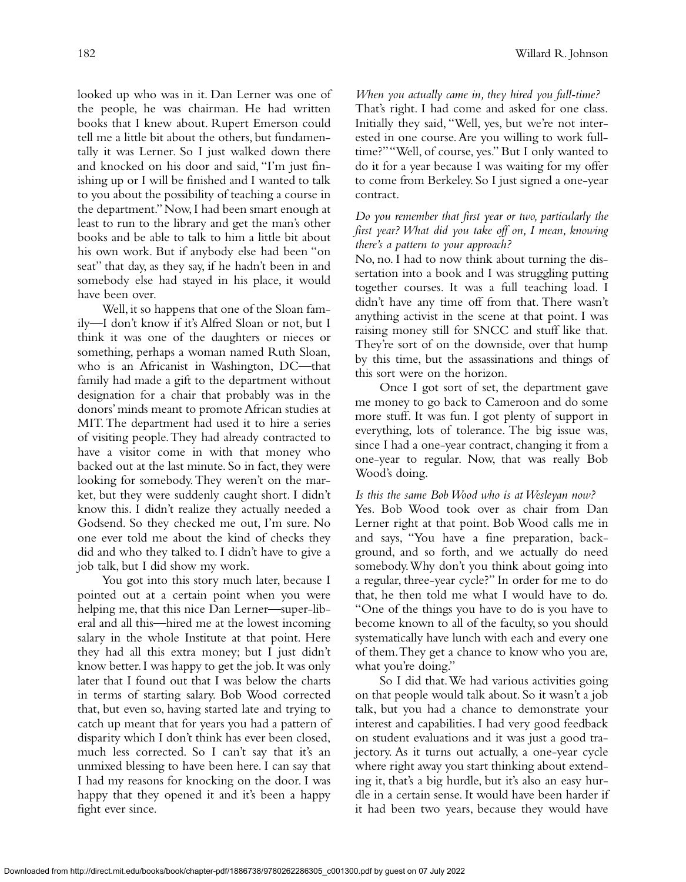looked up who was in it. Dan Lerner was one of the people, he was chairman. He had written books that I knew about. Rupert Emerson could tell me a little bit about the others, but fundamentally it was Lerner. So I just walked down there and knocked on his door and said, "I'm just finishing up or I will be finished and I wanted to talk to you about the possibility of teaching a course in the department."Now,I had been smart enough at least to run to the library and get the man's other books and be able to talk to him a little bit about his own work. But if anybody else had been "on seat" that day, as they say, if he hadn't been in and somebody else had stayed in his place, it would have been over.

Well, it so happens that one of the Sloan family—I don't know if it's Alfred Sloan or not, but I think it was one of the daughters or nieces or something, perhaps a woman named Ruth Sloan, who is an Africanist in Washington, DC—that family had made a gift to the department without designation for a chair that probably was in the donors' minds meant to promote African studies at MIT.The department had used it to hire a series of visiting people.They had already contracted to have a visitor come in with that money who backed out at the last minute. So in fact, they were looking for somebody.They weren't on the market, but they were suddenly caught short. I didn't know this. I didn't realize they actually needed a Godsend. So they checked me out, I'm sure. No one ever told me about the kind of checks they did and who they talked to. I didn't have to give a job talk, but I did show my work.

You got into this story much later, because I pointed out at a certain point when you were helping me, that this nice Dan Lerner—super-liberal and all this—hired me at the lowest incoming salary in the whole Institute at that point. Here they had all this extra money; but I just didn't know better.I was happy to get the job.It was only later that I found out that I was below the charts in terms of starting salary. Bob Wood corrected that, but even so, having started late and trying to catch up meant that for years you had a pattern of disparity which I don't think has ever been closed, much less corrected. So I can't say that it's an unmixed blessing to have been here. I can say that I had my reasons for knocking on the door. I was happy that they opened it and it's been a happy fight ever since.

182 Willard R. Johnson

*When you actually came in, they hired you full-time?* That's right. I had come and asked for one class. Initially they said, "Well, yes, but we're not interested in one course.Are you willing to work fulltime?""Well, of course, yes." But I only wanted to do it for a year because I was waiting for my offer to come from Berkeley. So I just signed a one-year contract.

# *Do you remember that first year or two, particularly the first year? What did you take off on, I mean, knowing there's a pattern to your approach?*

No, no. I had to now think about turning the dissertation into a book and I was struggling putting together courses. It was a full teaching load. I didn't have any time off from that. There wasn't anything activist in the scene at that point. I was raising money still for SNCC and stuff like that. They're sort of on the downside, over that hump by this time, but the assassinations and things of this sort were on the horizon.

Once I got sort of set, the department gave me money to go back to Cameroon and do some more stuff. It was fun. I got plenty of support in everything, lots of tolerance. The big issue was, since I had a one-year contract, changing it from a one-year to regular. Now, that was really Bob Wood's doing.

# *Is this the same Bob Wood who is at Wesleyan now?*

Yes. Bob Wood took over as chair from Dan Lerner right at that point. Bob Wood calls me in and says, "You have a fine preparation, background, and so forth, and we actually do need somebody.Why don't you think about going into a regular, three-year cycle?" In order for me to do that, he then told me what I would have to do. "One of the things you have to do is you have to become known to all of the faculty, so you should systematically have lunch with each and every one of them.They get a chance to know who you are, what you're doing."

So I did that.We had various activities going on that people would talk about. So it wasn't a job talk, but you had a chance to demonstrate your interest and capabilities. I had very good feedback on student evaluations and it was just a good trajectory. As it turns out actually, a one-year cycle where right away you start thinking about extending it, that's a big hurdle, but it's also an easy hurdle in a certain sense. It would have been harder if it had been two years, because they would have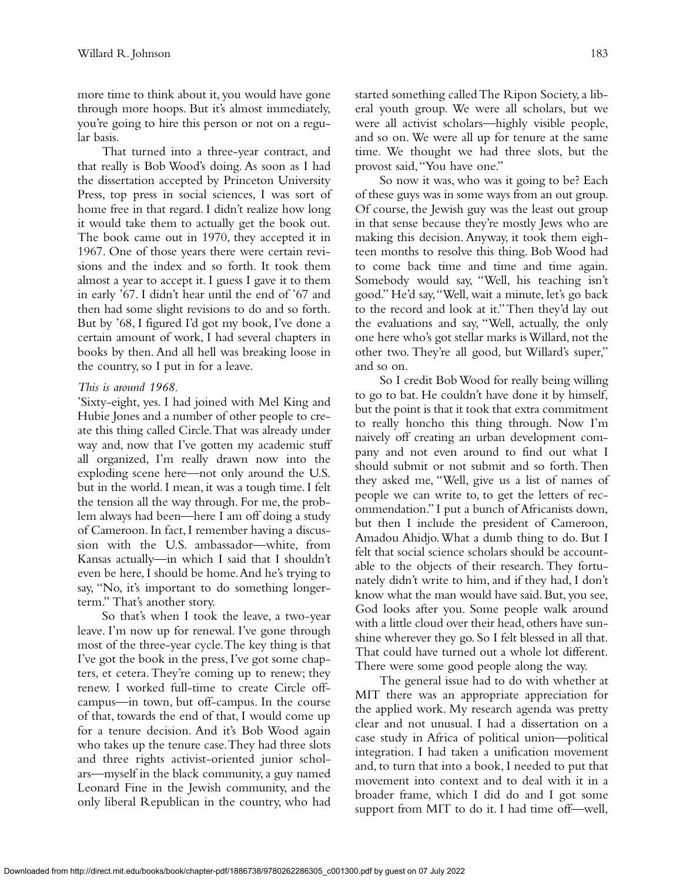more time to think about it, you would have gone through more hoops. But it's almost immediately, you're going to hire this person or not on a regular basis.

That turned into a three-year contract, and that really is Bob Wood's doing. As soon as I had the dissertation accepted by Princeton University Press, top press in social sciences, I was sort of home free in that regard. I didn't realize how long it would take them to actually get the book out. The book came out in 1970, they accepted it in 1967. One of those years there were certain revisions and the index and so forth. It took them almost a year to accept it. I guess I gave it to them in early '67. I didn't hear until the end of '67 and then had some slight revisions to do and so forth. But by '68, I figured I'd got my book, I've done a certain amount of work, I had several chapters in books by then. And all hell was breaking loose in the country, so I put in for a leave.

## *This is around 1968.*

'Sixty-eight, yes. I had joined with Mel King and Hubie Jones and a number of other people to create this thing called Circle.That was already under way and, now that I've gotten my academic stuff all organized, I'm really drawn now into the exploding scene here—not only around the U.S. but in the world. I mean, it was a tough time. I felt the tension all the way through. For me, the problem always had been—here I am off doing a study of Cameroon. In fact, I remember having a discussion with the U.S. ambassador—white, from Kansas actually—in which I said that I shouldn't even be here, I should be home.And he's trying to say, "No, it's important to do something longerterm." That's another story.

So that's when I took the leave, a two-year leave. I'm now up for renewal. I've gone through most of the three-year cycle.The key thing is that I've got the book in the press, I've got some chapters, et cetera.They're coming up to renew; they renew. I worked full-time to create Circle offcampus—in town, but off-campus. In the course of that, towards the end of that, I would come up for a tenure decision. And it's Bob Wood again who takes up the tenure case.They had three slots and three rights activist-oriented junior scholars—myself in the black community, a guy named Leonard Fine in the Jewish community, and the only liberal Republican in the country, who had started something called The Ripon Society, a liberal youth group. We were all scholars, but we were all activist scholars—highly visible people, and so on. We were all up for tenure at the same time. We thought we had three slots, but the provost said,"You have one."

So now it was, who was it going to be? Each of these guys was in some ways from an out group. Of course, the Jewish guy was the least out group in that sense because they're mostly Jews who are making this decision. Anyway, it took them eighteen months to resolve this thing. Bob Wood had to come back time and time and time again. Somebody would say, "Well, his teaching isn't good." He'd say,"Well, wait a minute, let's go back to the record and look at it."Then they'd lay out the evaluations and say, "Well, actually, the only one here who's got stellar marks is Willard, not the other two. They're all good, but Willard's super," and so on.

So I credit Bob Wood for really being willing to go to bat. He couldn't have done it by himself, but the point is that it took that extra commitment to really honcho this thing through. Now I'm naively off creating an urban development company and not even around to find out what I should submit or not submit and so forth. Then they asked me, "Well, give us a list of names of people we can write to, to get the letters of recommendation." I put a bunch of Africanists down, but then I include the president of Cameroon, Amadou Ahidjo.What a dumb thing to do. But I felt that social science scholars should be accountable to the objects of their research. They fortunately didn't write to him, and if they had, I don't know what the man would have said. But, you see, God looks after you. Some people walk around with a little cloud over their head, others have sunshine wherever they go. So I felt blessed in all that. That could have turned out a whole lot different. There were some good people along the way.

The general issue had to do with whether at MIT there was an appropriate appreciation for the applied work. My research agenda was pretty clear and not unusual. I had a dissertation on a case study in Africa of political union—political integration. I had taken a unification movement and, to turn that into a book, I needed to put that movement into context and to deal with it in a broader frame, which I did do and I got some support from MIT to do it. I had time off—well,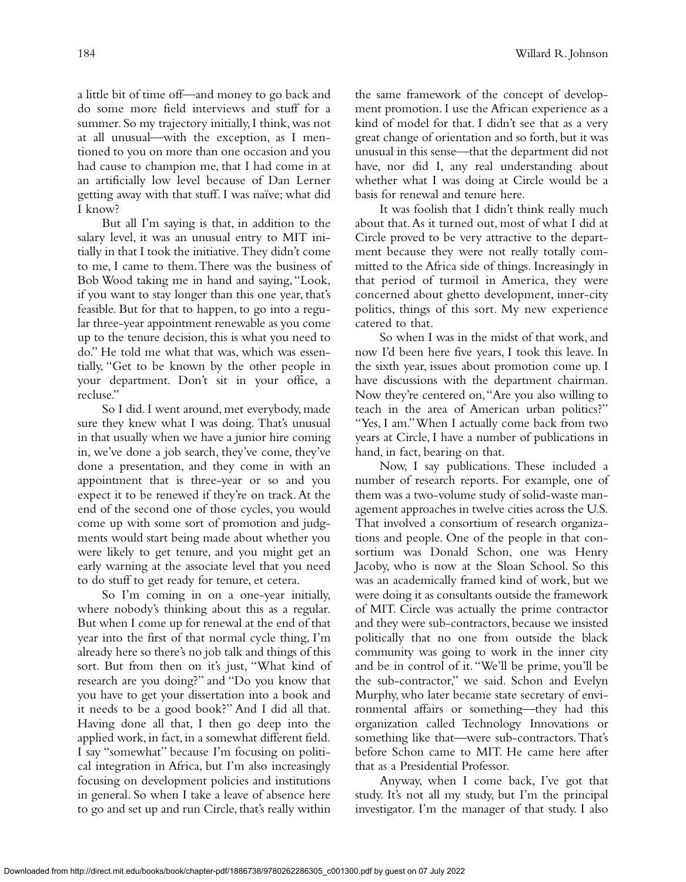a little bit of time off—and money to go back and do some more field interviews and stuff for a summer. So my trajectory initially, I think, was not at all unusual—with the exception, as I mentioned to you on more than one occasion and you had cause to champion me, that I had come in at an artificially low level because of Dan Lerner getting away with that stuff. I was naïve; what did I know?

But all I'm saying is that, in addition to the salary level, it was an unusual entry to MIT initially in that I took the initiative. They didn't come to me, I came to them.There was the business of Bob Wood taking me in hand and saying,"Look, if you want to stay longer than this one year, that's feasible. But for that to happen, to go into a regular three-year appointment renewable as you come up to the tenure decision, this is what you need to do." He told me what that was, which was essentially, "Get to be known by the other people in your department. Don't sit in your office, a recluse."

So I did. I went around, met everybody, made sure they knew what I was doing. That's unusual in that usually when we have a junior hire coming in, we've done a job search, they've come, they've done a presentation, and they come in with an appointment that is three-year or so and you expect it to be renewed if they're on track.At the end of the second one of those cycles, you would come up with some sort of promotion and judgments would start being made about whether you were likely to get tenure, and you might get an early warning at the associate level that you need to do stuff to get ready for tenure, et cetera.

So I'm coming in on a one-year initially, where nobody's thinking about this as a regular. But when I come up for renewal at the end of that year into the first of that normal cycle thing, I'm already here so there's no job talk and things of this sort. But from then on it's just, "What kind of research are you doing?" and "Do you know that you have to get your dissertation into a book and it needs to be a good book?" And I did all that. Having done all that, I then go deep into the applied work, in fact, in a somewhat different field. I say "somewhat" because I'm focusing on political integration in Africa, but I'm also increasingly focusing on development policies and institutions in general. So when I take a leave of absence here to go and set up and run Circle, that's really within

the same framework of the concept of development promotion. I use the African experience as a kind of model for that. I didn't see that as a very great change of orientation and so forth, but it was unusual in this sense—that the department did not have, nor did I, any real understanding about whether what I was doing at Circle would be a basis for renewal and tenure here.

It was foolish that I didn't think really much about that.As it turned out, most of what I did at Circle proved to be very attractive to the department because they were not really totally committed to the Africa side of things. Increasingly in that period of turmoil in America, they were concerned about ghetto development, inner-city politics, things of this sort. My new experience catered to that.

So when I was in the midst of that work, and now I'd been here five years, I took this leave. In the sixth year, issues about promotion come up. I have discussions with the department chairman. Now they're centered on,"Are you also willing to teach in the area of American urban politics?" "Yes, I am."When I actually come back from two years at Circle, I have a number of publications in hand, in fact, bearing on that.

Now, I say publications. These included a number of research reports. For example, one of them was a two-volume study of solid-waste management approaches in twelve cities across the U.S. That involved a consortium of research organizations and people. One of the people in that consortium was Donald Schon, one was Henry Jacoby, who is now at the Sloan School. So this was an academically framed kind of work, but we were doing it as consultants outside the framework of MIT. Circle was actually the prime contractor and they were sub-contractors, because we insisted politically that no one from outside the black community was going to work in the inner city and be in control of it."We'll be prime, you'll be the sub-contractor," we said. Schon and Evelyn Murphy, who later became state secretary of environmental affairs or something—they had this organization called Technology Innovations or something like that—were sub-contractors.That's before Schon came to MIT. He came here after that as a Presidential Professor.

Anyway, when I come back, I've got that study. It's not all my study, but I'm the principal investigator. I'm the manager of that study. I also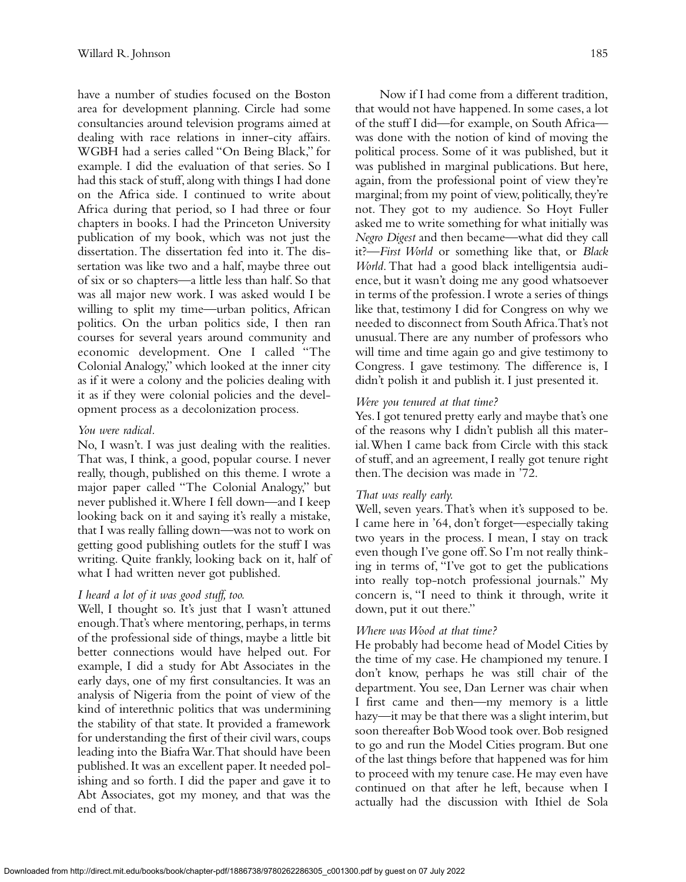have a number of studies focused on the Boston area for development planning. Circle had some consultancies around television programs aimed at dealing with race relations in inner-city affairs. WGBH had a series called "On Being Black," for example. I did the evaluation of that series. So I had this stack of stuff, along with things I had done on the Africa side. I continued to write about Africa during that period, so I had three or four chapters in books. I had the Princeton University publication of my book, which was not just the dissertation. The dissertation fed into it. The dissertation was like two and a half, maybe three out of six or so chapters—a little less than half. So that was all major new work. I was asked would I be willing to split my time—urban politics, African politics. On the urban politics side, I then ran courses for several years around community and economic development. One I called "The Colonial Analogy," which looked at the inner city as if it were a colony and the policies dealing with it as if they were colonial policies and the development process as a decolonization process.

### *You were radical.*

No, I wasn't. I was just dealing with the realities. That was, I think, a good, popular course. I never really, though, published on this theme. I wrote a major paper called "The Colonial Analogy," but never published it.Where I fell down—and I keep looking back on it and saying it's really a mistake, that I was really falling down—was not to work on getting good publishing outlets for the stuff I was writing. Quite frankly, looking back on it, half of what I had written never got published.

## *I heard a lot of it was good stuff, too.*

Well, I thought so. It's just that I wasn't attuned enough.That's where mentoring, perhaps, in terms of the professional side of things, maybe a little bit better connections would have helped out. For example, I did a study for Abt Associates in the early days, one of my first consultancies. It was an analysis of Nigeria from the point of view of the kind of interethnic politics that was undermining the stability of that state. It provided a framework for understanding the first of their civil wars, coups leading into the Biafra War.That should have been published. It was an excellent paper. It needed polishing and so forth. I did the paper and gave it to Abt Associates, got my money, and that was the end of that.

Now if I had come from a different tradition, that would not have happened. In some cases, a lot of the stuff I did—for example, on South Africa was done with the notion of kind of moving the political process. Some of it was published, but it was published in marginal publications. But here, again, from the professional point of view they're marginal; from my point of view, politically, they're not. They got to my audience. So Hoyt Fuller asked me to write something for what initially was *Negro Digest* and then became—what did they call it?—*First World* or something like that, or *Black World*. That had a good black intelligentsia audience, but it wasn't doing me any good whatsoever in terms of the profession.I wrote a series of things like that, testimony I did for Congress on why we needed to disconnect from South Africa.That's not unusual.There are any number of professors who will time and time again go and give testimony to Congress. I gave testimony. The difference is, I didn't polish it and publish it. I just presented it.

### *Were you tenured at that time?*

Yes.I got tenured pretty early and maybe that's one of the reasons why I didn't publish all this material.When I came back from Circle with this stack of stuff, and an agreement, I really got tenure right then.The decision was made in '72.

## *That was really early.*

Well, seven years.That's when it's supposed to be. I came here in '64, don't forget—especially taking two years in the process. I mean, I stay on track even though I've gone off.So I'm not really thinking in terms of, "I've got to get the publications into really top-notch professional journals." My concern is, "I need to think it through, write it down, put it out there."

#### *Where was Wood at that time?*

He probably had become head of Model Cities by the time of my case. He championed my tenure. I don't know, perhaps he was still chair of the department. You see, Dan Lerner was chair when I first came and then—my memory is a little hazy—it may be that there was a slight interim, but soon thereafter Bob Wood took over.Bob resigned to go and run the Model Cities program. But one of the last things before that happened was for him to proceed with my tenure case.He may even have continued on that after he left, because when I actually had the discussion with Ithiel de Sola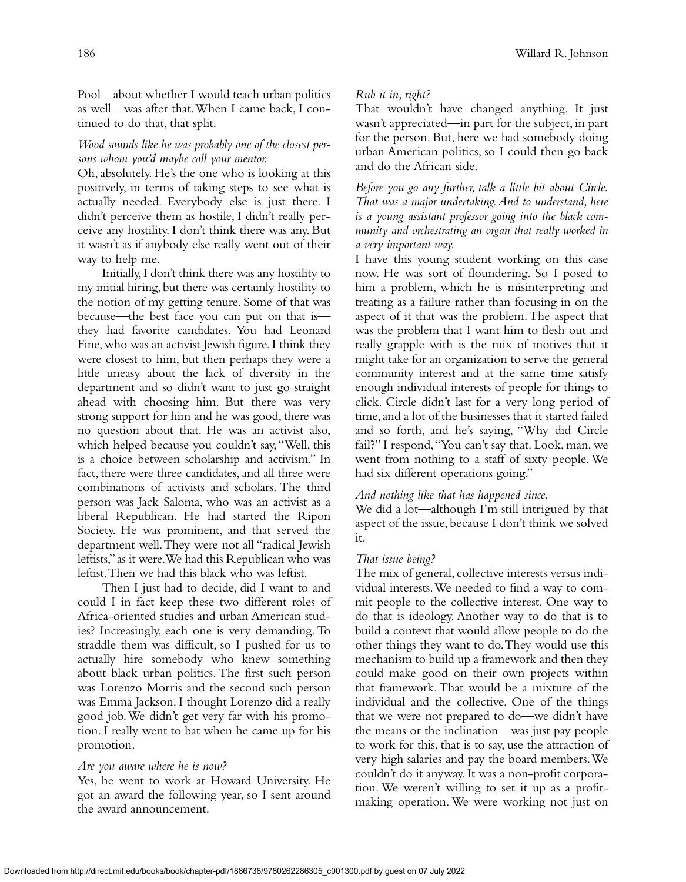Pool—about whether I would teach urban politics as well—was after that.When I came back, I continued to do that, that split.

## *Wood sounds like he was probably one of the closest persons whom you'd maybe call your mentor.*

Oh, absolutely. He's the one who is looking at this positively, in terms of taking steps to see what is actually needed. Everybody else is just there. I didn't perceive them as hostile, I didn't really perceive any hostility. I don't think there was any. But it wasn't as if anybody else really went out of their way to help me.

Initially,I don't think there was any hostility to my initial hiring, but there was certainly hostility to the notion of my getting tenure. Some of that was because—the best face you can put on that is they had favorite candidates. You had Leonard Fine, who was an activist Jewish figure. I think they were closest to him, but then perhaps they were a little uneasy about the lack of diversity in the department and so didn't want to just go straight ahead with choosing him. But there was very strong support for him and he was good, there was no question about that. He was an activist also, which helped because you couldn't say,"Well, this is a choice between scholarship and activism." In fact, there were three candidates, and all three were combinations of activists and scholars. The third person was Jack Saloma, who was an activist as a liberal Republican. He had started the Ripon Society. He was prominent, and that served the department well.They were not all "radical Jewish leftists,"as it were.We had this Republican who was leftist.Then we had this black who was leftist.

Then I just had to decide, did I want to and could I in fact keep these two different roles of Africa-oriented studies and urban American studies? Increasingly, each one is very demanding. To straddle them was difficult, so I pushed for us to actually hire somebody who knew something about black urban politics. The first such person was Lorenzo Morris and the second such person was Emma Jackson. I thought Lorenzo did a really good job.We didn't get very far with his promotion. I really went to bat when he came up for his promotion.

#### *Are you aware where he is now?*

Yes, he went to work at Howard University. He got an award the following year, so I sent around the award announcement.

#### *Rub it in, right?*

That wouldn't have changed anything. It just wasn't appreciated—in part for the subject, in part for the person. But, here we had somebody doing urban American politics, so I could then go back and do the African side.

*Before you go any further, talk a little bit about Circle. That was a major undertaking.And to understand, here is a young assistant professor going into the black community and orchestrating an organ that really worked in a very important way.*

I have this young student working on this case now. He was sort of floundering. So I posed to him a problem, which he is misinterpreting and treating as a failure rather than focusing in on the aspect of it that was the problem.The aspect that was the problem that I want him to flesh out and really grapple with is the mix of motives that it might take for an organization to serve the general community interest and at the same time satisfy enough individual interests of people for things to click. Circle didn't last for a very long period of time, and a lot of the businesses that it started failed and so forth, and he's saying, "Why did Circle fail?" I respond,"You can't say that. Look, man, we went from nothing to a staff of sixty people. We had six different operations going."

#### *And nothing like that has happened since.*

We did a lot—although I'm still intrigued by that aspect of the issue, because I don't think we solved it.

#### *That issue being?*

The mix of general, collective interests versus individual interests.We needed to find a way to commit people to the collective interest. One way to do that is ideology. Another way to do that is to build a context that would allow people to do the other things they want to do.They would use this mechanism to build up a framework and then they could make good on their own projects within that framework. That would be a mixture of the individual and the collective. One of the things that we were not prepared to do—we didn't have the means or the inclination—was just pay people to work for this, that is to say, use the attraction of very high salaries and pay the board members.We couldn't do it anyway. It was a non-profit corporation. We weren't willing to set it up as a profitmaking operation. We were working not just on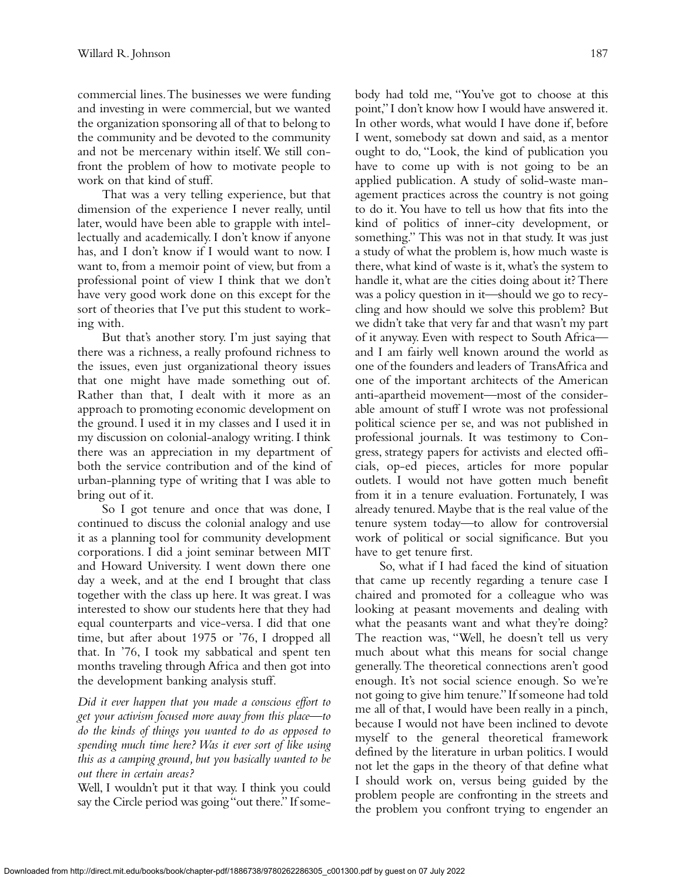commercial lines.The businesses we were funding and investing in were commercial, but we wanted the organization sponsoring all of that to belong to the community and be devoted to the community and not be mercenary within itself. We still confront the problem of how to motivate people to work on that kind of stuff.

That was a very telling experience, but that dimension of the experience I never really, until later, would have been able to grapple with intellectually and academically. I don't know if anyone has, and I don't know if I would want to now. I want to, from a memoir point of view, but from a professional point of view I think that we don't have very good work done on this except for the sort of theories that I've put this student to working with.

But that's another story. I'm just saying that there was a richness, a really profound richness to the issues, even just organizational theory issues that one might have made something out of. Rather than that, I dealt with it more as an approach to promoting economic development on the ground. I used it in my classes and I used it in my discussion on colonial-analogy writing. I think there was an appreciation in my department of both the service contribution and of the kind of urban-planning type of writing that I was able to bring out of it.

So I got tenure and once that was done, I continued to discuss the colonial analogy and use it as a planning tool for community development corporations. I did a joint seminar between MIT and Howard University. I went down there one day a week, and at the end I brought that class together with the class up here. It was great. I was interested to show our students here that they had equal counterparts and vice-versa. I did that one time, but after about 1975 or '76, I dropped all that. In '76, I took my sabbatical and spent ten months traveling through Africa and then got into the development banking analysis stuff.

*Did it ever happen that you made a conscious effort to get your activism focused more away from this place—to do the kinds of things you wanted to do as opposed to spending much time here? Was it ever sort of like using this as a camping ground, but you basically wanted to be out there in certain areas?*

Well, I wouldn't put it that way. I think you could say the Circle period was going "out there." If somebody had told me, "You've got to choose at this point,"I don't know how I would have answered it. In other words, what would I have done if, before I went, somebody sat down and said, as a mentor ought to do, "Look, the kind of publication you have to come up with is not going to be an applied publication. A study of solid-waste management practices across the country is not going to do it. You have to tell us how that fits into the kind of politics of inner-city development, or something." This was not in that study. It was just a study of what the problem is, how much waste is there, what kind of waste is it, what's the system to handle it, what are the cities doing about it? There was a policy question in it—should we go to recycling and how should we solve this problem? But we didn't take that very far and that wasn't my part of it anyway. Even with respect to South Africa and I am fairly well known around the world as one of the founders and leaders of TransAfrica and one of the important architects of the American anti-apartheid movement—most of the considerable amount of stuff I wrote was not professional political science per se, and was not published in professional journals. It was testimony to Congress, strategy papers for activists and elected officials, op-ed pieces, articles for more popular outlets. I would not have gotten much benefit from it in a tenure evaluation. Fortunately, I was already tenured. Maybe that is the real value of the tenure system today—to allow for controversial work of political or social significance. But you have to get tenure first.

So, what if I had faced the kind of situation that came up recently regarding a tenure case I chaired and promoted for a colleague who was looking at peasant movements and dealing with what the peasants want and what they're doing? The reaction was, "Well, he doesn't tell us very much about what this means for social change generally.The theoretical connections aren't good enough. It's not social science enough. So we're not going to give him tenure."If someone had told me all of that, I would have been really in a pinch, because I would not have been inclined to devote myself to the general theoretical framework defined by the literature in urban politics. I would not let the gaps in the theory of that define what I should work on, versus being guided by the problem people are confronting in the streets and the problem you confront trying to engender an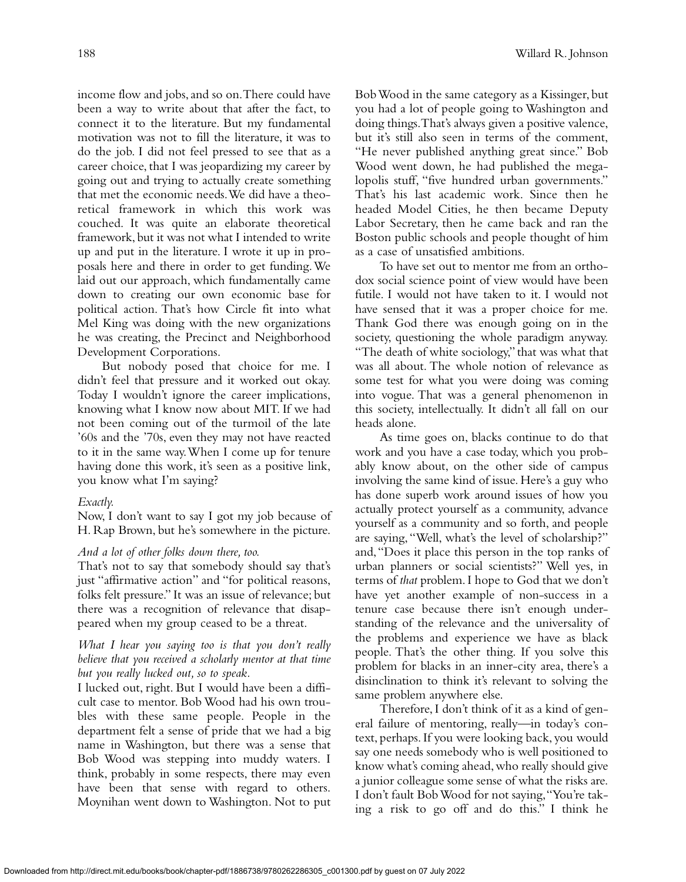income flow and jobs, and so on.There could have been a way to write about that after the fact, to connect it to the literature. But my fundamental motivation was not to fill the literature, it was to do the job. I did not feel pressed to see that as a career choice, that I was jeopardizing my career by going out and trying to actually create something that met the economic needs.We did have a theoretical framework in which this work was couched. It was quite an elaborate theoretical framework, but it was not what I intended to write up and put in the literature. I wrote it up in proposals here and there in order to get funding.We laid out our approach, which fundamentally came down to creating our own economic base for political action. That's how Circle fit into what Mel King was doing with the new organizations he was creating, the Precinct and Neighborhood Development Corporations.

But nobody posed that choice for me. I didn't feel that pressure and it worked out okay. Today I wouldn't ignore the career implications, knowing what I know now about MIT. If we had not been coming out of the turmoil of the late '60s and the '70s, even they may not have reacted to it in the same way.When I come up for tenure having done this work, it's seen as a positive link, you know what I'm saying?

#### *Exactly.*

Now, I don't want to say I got my job because of H. Rap Brown, but he's somewhere in the picture.

#### *And a lot of other folks down there, too.*

That's not to say that somebody should say that's just "affirmative action" and "for political reasons, folks felt pressure." It was an issue of relevance; but there was a recognition of relevance that disappeared when my group ceased to be a threat.

## *What I hear you saying too is that you don't really believe that you received a scholarly mentor at that time but you really lucked out, so to speak.*

I lucked out, right. But I would have been a difficult case to mentor. Bob Wood had his own troubles with these same people. People in the department felt a sense of pride that we had a big name in Washington, but there was a sense that Bob Wood was stepping into muddy waters. I think, probably in some respects, there may even have been that sense with regard to others. Moynihan went down to Washington. Not to put Bob Wood in the same category as a Kissinger, but you had a lot of people going to Washington and doing things.That's always given a positive valence, but it's still also seen in terms of the comment, "He never published anything great since." Bob Wood went down, he had published the megalopolis stuff, "five hundred urban governments." That's his last academic work. Since then he headed Model Cities, he then became Deputy Labor Secretary, then he came back and ran the Boston public schools and people thought of him as a case of unsatisfied ambitions.

To have set out to mentor me from an orthodox social science point of view would have been futile. I would not have taken to it. I would not have sensed that it was a proper choice for me. Thank God there was enough going on in the society, questioning the whole paradigm anyway. "The death of white sociology," that was what that was all about. The whole notion of relevance as some test for what you were doing was coming into vogue. That was a general phenomenon in this society, intellectually. It didn't all fall on our heads alone.

As time goes on, blacks continue to do that work and you have a case today, which you probably know about, on the other side of campus involving the same kind of issue. Here's a guy who has done superb work around issues of how you actually protect yourself as a community, advance yourself as a community and so forth, and people are saying,"Well, what's the level of scholarship?" and,"Does it place this person in the top ranks of urban planners or social scientists?" Well yes, in terms of *that* problem.I hope to God that we don't have yet another example of non-success in a tenure case because there isn't enough understanding of the relevance and the universality of the problems and experience we have as black people. That's the other thing. If you solve this problem for blacks in an inner-city area, there's a disinclination to think it's relevant to solving the same problem anywhere else.

Therefore, I don't think of it as a kind of general failure of mentoring, really—in today's context, perhaps. If you were looking back, you would say one needs somebody who is well positioned to know what's coming ahead, who really should give a junior colleague some sense of what the risks are. I don't fault Bob Wood for not saying,"You're taking a risk to go off and do this." I think he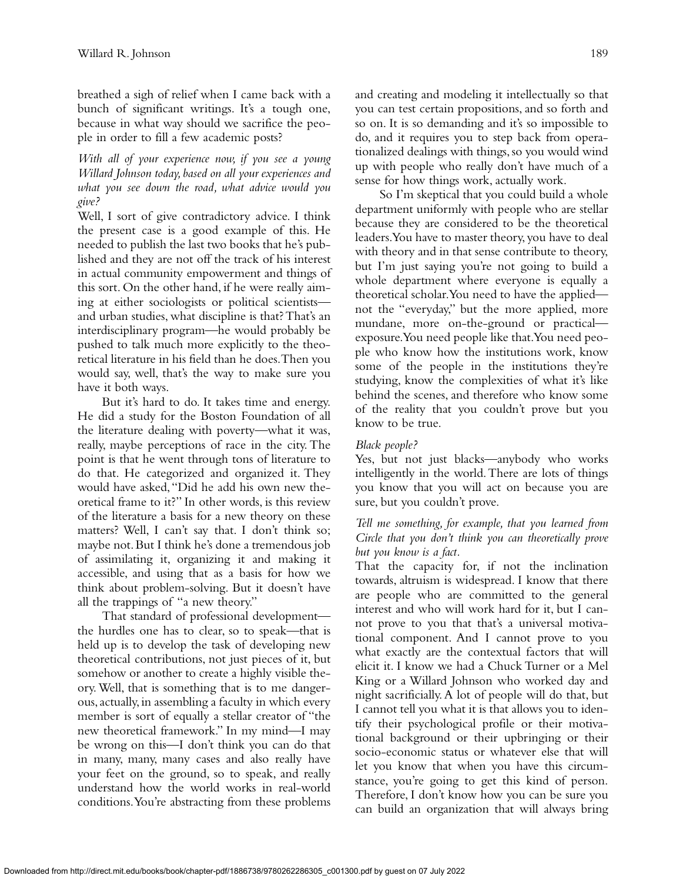breathed a sigh of relief when I came back with a bunch of significant writings. It's a tough one, because in what way should we sacrifice the people in order to fill a few academic posts?

*With all of your experience now, if you see a young Willard Johnson today,based on all your experiences and what you see down the road, what advice would you give?*

Well, I sort of give contradictory advice. I think the present case is a good example of this. He needed to publish the last two books that he's published and they are not off the track of his interest in actual community empowerment and things of this sort. On the other hand, if he were really aiming at either sociologists or political scientists and urban studies, what discipline is that? That's an interdisciplinary program—he would probably be pushed to talk much more explicitly to the theoretical literature in his field than he does.Then you would say, well, that's the way to make sure you have it both ways.

But it's hard to do. It takes time and energy. He did a study for the Boston Foundation of all the literature dealing with poverty—what it was, really, maybe perceptions of race in the city. The point is that he went through tons of literature to do that. He categorized and organized it. They would have asked,"Did he add his own new theoretical frame to it?" In other words, is this review of the literature a basis for a new theory on these matters? Well, I can't say that. I don't think so; maybe not.But I think he's done a tremendous job of assimilating it, organizing it and making it accessible, and using that as a basis for how we think about problem-solving. But it doesn't have all the trappings of "a new theory."

That standard of professional development the hurdles one has to clear, so to speak—that is held up is to develop the task of developing new theoretical contributions, not just pieces of it, but somehow or another to create a highly visible theory.Well, that is something that is to me dangerous,actually,in assembling a faculty in which every member is sort of equally a stellar creator of "the new theoretical framework." In my mind—I may be wrong on this—I don't think you can do that in many, many, many cases and also really have your feet on the ground, so to speak, and really understand how the world works in real-world conditions.You're abstracting from these problems and creating and modeling it intellectually so that you can test certain propositions, and so forth and so on. It is so demanding and it's so impossible to do, and it requires you to step back from operationalized dealings with things, so you would wind up with people who really don't have much of a sense for how things work, actually work.

So I'm skeptical that you could build a whole department uniformly with people who are stellar because they are considered to be the theoretical leaders.You have to master theory,you have to deal with theory and in that sense contribute to theory, but I'm just saying you're not going to build a whole department where everyone is equally a theoretical scholar.You need to have the applied not the "everyday," but the more applied, more mundane, more on-the-ground or practical exposure.You need people like that.You need people who know how the institutions work, know some of the people in the institutions they're studying, know the complexities of what it's like behind the scenes, and therefore who know some of the reality that you couldn't prove but you know to be true.

# *Black people?*

Yes, but not just blacks—anybody who works intelligently in the world.There are lots of things you know that you will act on because you are sure, but you couldn't prove.

# *Tell me something, for example, that you learned from Circle that you don't think you can theoretically prove but you know is a fact.*

That the capacity for, if not the inclination towards, altruism is widespread. I know that there are people who are committed to the general interest and who will work hard for it, but I cannot prove to you that that's a universal motivational component. And I cannot prove to you what exactly are the contextual factors that will elicit it. I know we had a Chuck Turner or a Mel King or a Willard Johnson who worked day and night sacrificially.A lot of people will do that, but I cannot tell you what it is that allows you to identify their psychological profile or their motivational background or their upbringing or their socio-economic status or whatever else that will let you know that when you have this circumstance, you're going to get this kind of person. Therefore, I don't know how you can be sure you can build an organization that will always bring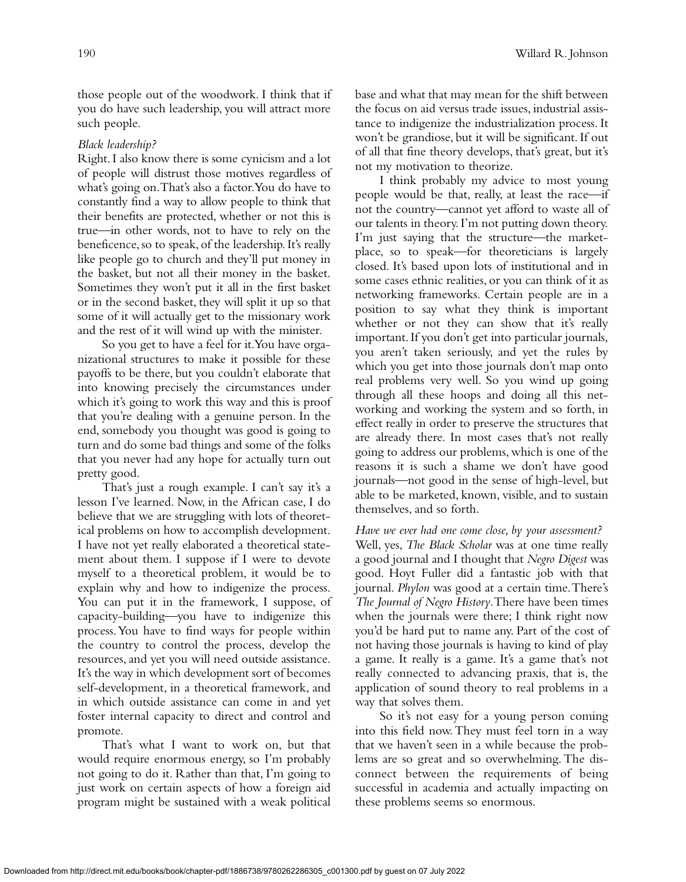those people out of the woodwork. I think that if you do have such leadership, you will attract more such people.

## *Black leadership?*

Right. I also know there is some cynicism and a lot of people will distrust those motives regardless of what's going on.That's also a factor.You do have to constantly find a way to allow people to think that their benefits are protected, whether or not this is true—in other words, not to have to rely on the beneficence, so to speak, of the leadership. It's really like people go to church and they'll put money in the basket, but not all their money in the basket. Sometimes they won't put it all in the first basket or in the second basket, they will split it up so that some of it will actually get to the missionary work and the rest of it will wind up with the minister.

So you get to have a feel for it.You have organizational structures to make it possible for these payoffs to be there, but you couldn't elaborate that into knowing precisely the circumstances under which it's going to work this way and this is proof that you're dealing with a genuine person. In the end, somebody you thought was good is going to turn and do some bad things and some of the folks that you never had any hope for actually turn out pretty good.

That's just a rough example. I can't say it's a lesson I've learned. Now, in the African case, I do believe that we are struggling with lots of theoretical problems on how to accomplish development. I have not yet really elaborated a theoretical statement about them. I suppose if I were to devote myself to a theoretical problem, it would be to explain why and how to indigenize the process. You can put it in the framework, I suppose, of capacity-building—you have to indigenize this process.You have to find ways for people within the country to control the process, develop the resources, and yet you will need outside assistance. It's the way in which development sort of becomes self-development, in a theoretical framework, and in which outside assistance can come in and yet foster internal capacity to direct and control and promote.

That's what I want to work on, but that would require enormous energy, so I'm probably not going to do it. Rather than that, I'm going to just work on certain aspects of how a foreign aid program might be sustained with a weak political base and what that may mean for the shift between the focus on aid versus trade issues, industrial assistance to indigenize the industrialization process. It won't be grandiose, but it will be significant. If out of all that fine theory develops, that's great, but it's not my motivation to theorize.

I think probably my advice to most young people would be that, really, at least the race—if not the country—cannot yet afford to waste all of our talents in theory.I'm not putting down theory. I'm just saying that the structure—the marketplace, so to speak—for theoreticians is largely closed. It's based upon lots of institutional and in some cases ethnic realities, or you can think of it as networking frameworks. Certain people are in a position to say what they think is important whether or not they can show that it's really important. If you don't get into particular journals, you aren't taken seriously, and yet the rules by which you get into those journals don't map onto real problems very well. So you wind up going through all these hoops and doing all this networking and working the system and so forth, in effect really in order to preserve the structures that are already there. In most cases that's not really going to address our problems, which is one of the reasons it is such a shame we don't have good journals—not good in the sense of high-level, but able to be marketed, known, visible, and to sustain themselves, and so forth.

*Have we ever had one come close, by your assessment?* Well, yes, *The Black Scholar* was at one time really a good journal and I thought that *Negro Digest* was good. Hoyt Fuller did a fantastic job with that journal. *Phylon* was good at a certain time.There's *The Journal of Negro History*.There have been times when the journals were there; I think right now you'd be hard put to name any. Part of the cost of not having those journals is having to kind of play a game. It really is a game. It's a game that's not really connected to advancing praxis, that is, the application of sound theory to real problems in a way that solves them.

So it's not easy for a young person coming into this field now.They must feel torn in a way that we haven't seen in a while because the problems are so great and so overwhelming. The disconnect between the requirements of being successful in academia and actually impacting on these problems seems so enormous.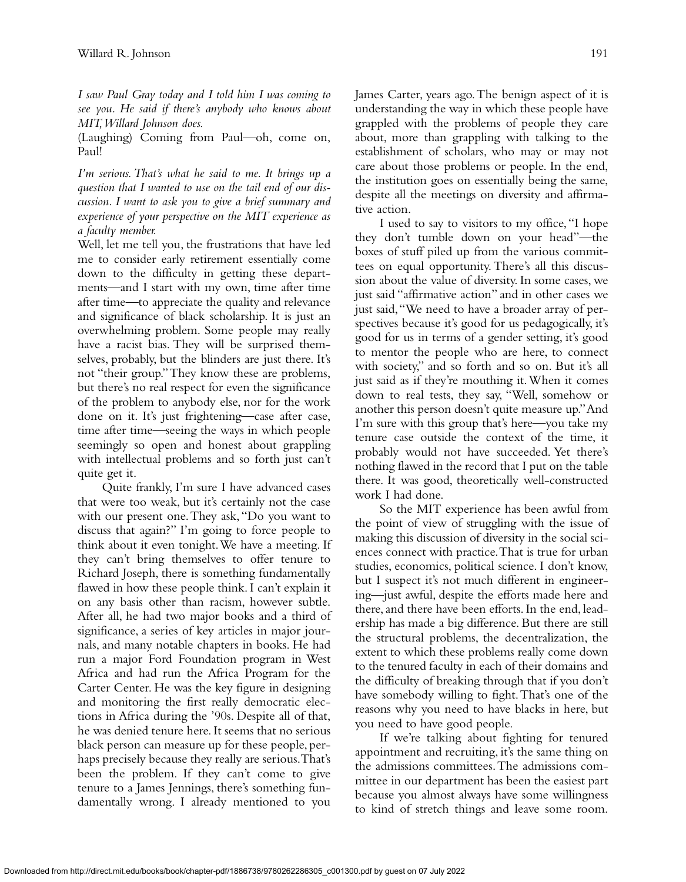*I saw Paul Gray today and I told him I was coming to see you. He said if there's anybody who knows about MIT,Willard Johnson does.*

(Laughing) Coming from Paul—oh, come on, Paul!

*I'm serious.That's what he said to me. It brings up a question that I wanted to use on the tail end of our discussion. I want to ask you to give a brief summary and experience of your perspective on the MIT experience as a faculty member.*

Well, let me tell you, the frustrations that have led me to consider early retirement essentially come down to the difficulty in getting these departments—and I start with my own, time after time after time—to appreciate the quality and relevance and significance of black scholarship. It is just an overwhelming problem. Some people may really have a racist bias. They will be surprised themselves, probably, but the blinders are just there. It's not "their group."They know these are problems, but there's no real respect for even the significance of the problem to anybody else, nor for the work done on it. It's just frightening—case after case, time after time—seeing the ways in which people seemingly so open and honest about grappling with intellectual problems and so forth just can't quite get it.

Quite frankly, I'm sure I have advanced cases that were too weak, but it's certainly not the case with our present one.They ask,"Do you want to discuss that again?" I'm going to force people to think about it even tonight.We have a meeting. If they can't bring themselves to offer tenure to Richard Joseph, there is something fundamentally flawed in how these people think. I can't explain it on any basis other than racism, however subtle. After all, he had two major books and a third of significance, a series of key articles in major journals, and many notable chapters in books. He had run a major Ford Foundation program in West Africa and had run the Africa Program for the Carter Center. He was the key figure in designing and monitoring the first really democratic elections in Africa during the '90s. Despite all of that, he was denied tenure here. It seems that no serious black person can measure up for these people, perhaps precisely because they really are serious.That's been the problem. If they can't come to give tenure to a James Jennings, there's something fundamentally wrong. I already mentioned to you

James Carter, years ago.The benign aspect of it is understanding the way in which these people have grappled with the problems of people they care about, more than grappling with talking to the establishment of scholars, who may or may not care about those problems or people. In the end, the institution goes on essentially being the same, despite all the meetings on diversity and affirmative action.

I used to say to visitors to my office,"I hope they don't tumble down on your head"—the boxes of stuff piled up from the various committees on equal opportunity. There's all this discussion about the value of diversity. In some cases, we just said "affirmative action" and in other cases we just said,"We need to have a broader array of perspectives because it's good for us pedagogically, it's good for us in terms of a gender setting, it's good to mentor the people who are here, to connect with society," and so forth and so on. But it's all just said as if they're mouthing it.When it comes down to real tests, they say, "Well, somehow or another this person doesn't quite measure up."And I'm sure with this group that's here—you take my tenure case outside the context of the time, it probably would not have succeeded. Yet there's nothing flawed in the record that I put on the table there. It was good, theoretically well-constructed work I had done.

So the MIT experience has been awful from the point of view of struggling with the issue of making this discussion of diversity in the social sciences connect with practice.That is true for urban studies, economics, political science. I don't know, but I suspect it's not much different in engineering—just awful, despite the efforts made here and there, and there have been efforts. In the end, leadership has made a big difference. But there are still the structural problems, the decentralization, the extent to which these problems really come down to the tenured faculty in each of their domains and the difficulty of breaking through that if you don't have somebody willing to fight.That's one of the reasons why you need to have blacks in here, but you need to have good people.

If we're talking about fighting for tenured appointment and recruiting, it's the same thing on the admissions committees.The admissions committee in our department has been the easiest part because you almost always have some willingness to kind of stretch things and leave some room.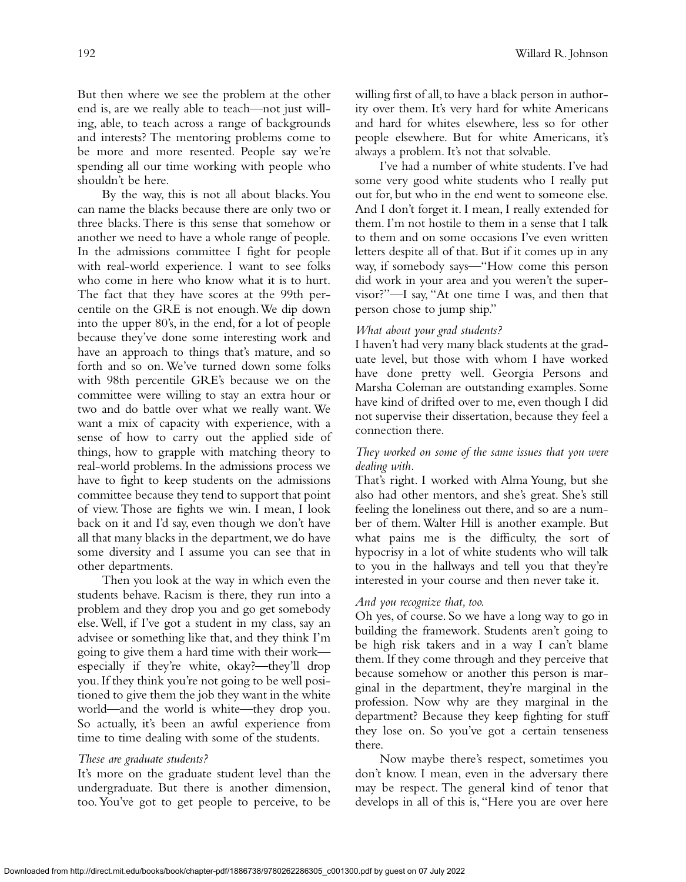But then where we see the problem at the other end is, are we really able to teach—not just willing, able, to teach across a range of backgrounds and interests? The mentoring problems come to be more and more resented. People say we're spending all our time working with people who shouldn't be here.

By the way, this is not all about blacks.You can name the blacks because there are only two or three blacks.There is this sense that somehow or another we need to have a whole range of people. In the admissions committee I fight for people with real-world experience. I want to see folks who come in here who know what it is to hurt. The fact that they have scores at the 99th percentile on the GRE is not enough.We dip down into the upper 80's, in the end, for a lot of people because they've done some interesting work and have an approach to things that's mature, and so forth and so on. We've turned down some folks with 98th percentile GRE's because we on the committee were willing to stay an extra hour or two and do battle over what we really want. We want a mix of capacity with experience, with a sense of how to carry out the applied side of things, how to grapple with matching theory to real-world problems. In the admissions process we have to fight to keep students on the admissions committee because they tend to support that point of view. Those are fights we win. I mean, I look back on it and I'd say, even though we don't have all that many blacks in the department, we do have some diversity and I assume you can see that in other departments.

Then you look at the way in which even the students behave. Racism is there, they run into a problem and they drop you and go get somebody else.Well, if I've got a student in my class, say an advisee or something like that, and they think I'm going to give them a hard time with their work especially if they're white, okay?—they'll drop you.If they think you're not going to be well positioned to give them the job they want in the white world—and the world is white—they drop you. So actually, it's been an awful experience from time to time dealing with some of the students.

#### *These are graduate students?*

It's more on the graduate student level than the undergraduate. But there is another dimension, too. You've got to get people to perceive, to be

willing first of all, to have a black person in authority over them. It's very hard for white Americans and hard for whites elsewhere, less so for other people elsewhere. But for white Americans, it's always a problem. It's not that solvable.

I've had a number of white students. I've had some very good white students who I really put out for, but who in the end went to someone else. And I don't forget it. I mean, I really extended for them. I'm not hostile to them in a sense that I talk to them and on some occasions I've even written letters despite all of that. But if it comes up in any way, if somebody says—"How come this person did work in your area and you weren't the supervisor?"—I say, "At one time I was, and then that person chose to jump ship."

## *What about your grad students?*

I haven't had very many black students at the graduate level, but those with whom I have worked have done pretty well. Georgia Persons and Marsha Coleman are outstanding examples. Some have kind of drifted over to me, even though I did not supervise their dissertation, because they feel a connection there.

## *They worked on some of the same issues that you were dealing with.*

That's right. I worked with Alma Young, but she also had other mentors, and she's great. She's still feeling the loneliness out there, and so are a number of them. Walter Hill is another example. But what pains me is the difficulty, the sort of hypocrisy in a lot of white students who will talk to you in the hallways and tell you that they're interested in your course and then never take it.

#### *And you recognize that, too.*

Oh yes, of course. So we have a long way to go in building the framework. Students aren't going to be high risk takers and in a way I can't blame them. If they come through and they perceive that because somehow or another this person is marginal in the department, they're marginal in the profession. Now why are they marginal in the department? Because they keep fighting for stuff they lose on. So you've got a certain tenseness there.

Now maybe there's respect, sometimes you don't know. I mean, even in the adversary there may be respect. The general kind of tenor that develops in all of this is,"Here you are over here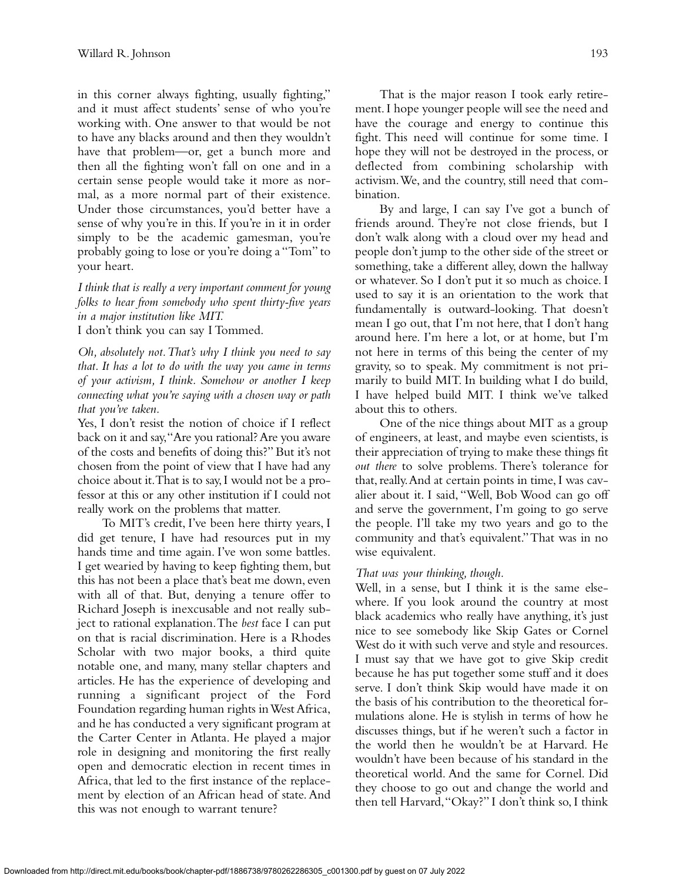in this corner always fighting, usually fighting," and it must affect students' sense of who you're working with. One answer to that would be not to have any blacks around and then they wouldn't have that problem—or, get a bunch more and then all the fighting won't fall on one and in a certain sense people would take it more as normal, as a more normal part of their existence. Under those circumstances, you'd better have a sense of why you're in this. If you're in it in order simply to be the academic gamesman, you're probably going to lose or you're doing a "Tom" to your heart.

*I think that is really a very important comment for young folks to hear from somebody who spent thirty-five years in a major institution like MIT.* I don't think you can say I Tommed.

*Oh, absolutely not.That's why I think you need to say that. It has a lot to do with the way you came in terms of your activism, I think. Somehow or another I keep connecting what you're saying with a chosen way or path that you've taken.*

Yes, I don't resist the notion of choice if I reflect back on it and say,"Are you rational? Are you aware of the costs and benefits of doing this?" But it's not chosen from the point of view that I have had any choice about it.That is to say,I would not be a professor at this or any other institution if I could not really work on the problems that matter.

To MIT's credit, I've been here thirty years, I did get tenure, I have had resources put in my hands time and time again. I've won some battles. I get wearied by having to keep fighting them, but this has not been a place that's beat me down, even with all of that. But, denying a tenure offer to Richard Joseph is inexcusable and not really subject to rational explanation.The *best* face I can put on that is racial discrimination. Here is a Rhodes Scholar with two major books, a third quite notable one, and many, many stellar chapters and articles. He has the experience of developing and running a significant project of the Ford Foundation regarding human rights in West Africa, and he has conducted a very significant program at the Carter Center in Atlanta. He played a major role in designing and monitoring the first really open and democratic election in recent times in Africa, that led to the first instance of the replacement by election of an African head of state. And this was not enough to warrant tenure?

That is the major reason I took early retirement.I hope younger people will see the need and have the courage and energy to continue this fight. This need will continue for some time. I hope they will not be destroyed in the process, or deflected from combining scholarship with activism.We, and the country, still need that combination.

By and large, I can say I've got a bunch of friends around. They're not close friends, but I don't walk along with a cloud over my head and people don't jump to the other side of the street or something, take a different alley, down the hallway or whatever. So I don't put it so much as choice. I used to say it is an orientation to the work that fundamentally is outward-looking. That doesn't mean I go out, that I'm not here, that I don't hang around here. I'm here a lot, or at home, but I'm not here in terms of this being the center of my gravity, so to speak. My commitment is not primarily to build MIT. In building what I do build, I have helped build MIT. I think we've talked about this to others.

One of the nice things about MIT as a group of engineers, at least, and maybe even scientists, is their appreciation of trying to make these things fit *out there* to solve problems. There's tolerance for that, really.And at certain points in time, I was cavalier about it. I said, "Well, Bob Wood can go off and serve the government, I'm going to go serve the people. I'll take my two years and go to the community and that's equivalent."That was in no wise equivalent.

## *That was your thinking, though.*

Well, in a sense, but I think it is the same elsewhere. If you look around the country at most black academics who really have anything, it's just nice to see somebody like Skip Gates or Cornel West do it with such verve and style and resources. I must say that we have got to give Skip credit because he has put together some stuff and it does serve. I don't think Skip would have made it on the basis of his contribution to the theoretical formulations alone. He is stylish in terms of how he discusses things, but if he weren't such a factor in the world then he wouldn't be at Harvard. He wouldn't have been because of his standard in the theoretical world. And the same for Cornel. Did they choose to go out and change the world and then tell Harvard,"Okay?" I don't think so, I think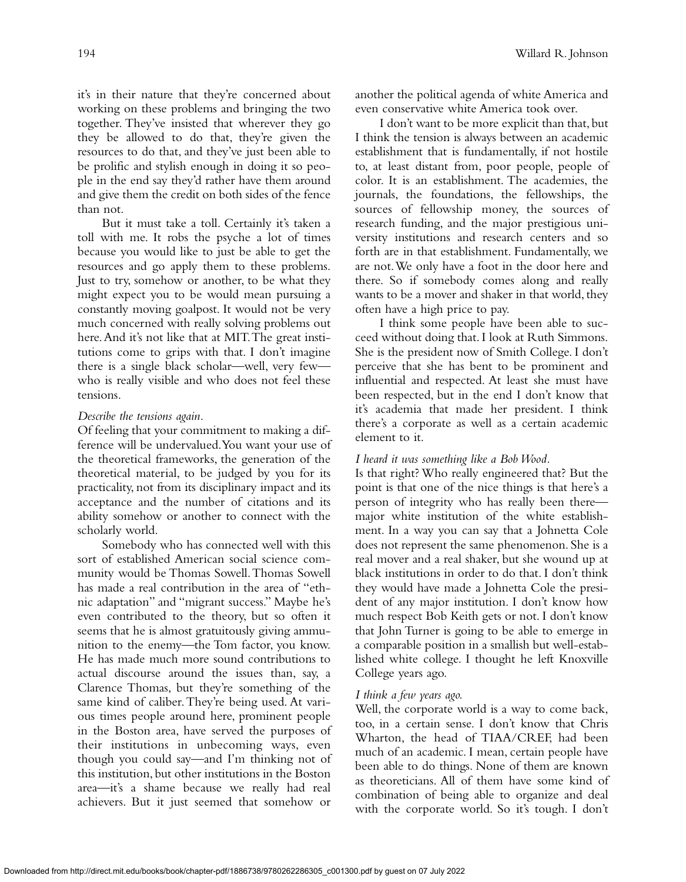it's in their nature that they're concerned about working on these problems and bringing the two together. They've insisted that wherever they go they be allowed to do that, they're given the resources to do that, and they've just been able to be prolific and stylish enough in doing it so people in the end say they'd rather have them around and give them the credit on both sides of the fence than not.

But it must take a toll. Certainly it's taken a toll with me. It robs the psyche a lot of times because you would like to just be able to get the resources and go apply them to these problems. Just to try, somehow or another, to be what they might expect you to be would mean pursuing a constantly moving goalpost. It would not be very much concerned with really solving problems out here.And it's not like that at MIT.The great institutions come to grips with that. I don't imagine there is a single black scholar—well, very few who is really visible and who does not feel these tensions.

#### *Describe the tensions again.*

Of feeling that your commitment to making a difference will be undervalued.You want your use of the theoretical frameworks, the generation of the theoretical material, to be judged by you for its practicality, not from its disciplinary impact and its acceptance and the number of citations and its ability somehow or another to connect with the scholarly world.

Somebody who has connected well with this sort of established American social science community would be Thomas Sowell.Thomas Sowell has made a real contribution in the area of "ethnic adaptation" and "migrant success." Maybe he's even contributed to the theory, but so often it seems that he is almost gratuitously giving ammunition to the enemy—the Tom factor, you know. He has made much more sound contributions to actual discourse around the issues than, say, a Clarence Thomas, but they're something of the same kind of caliber.They're being used. At various times people around here, prominent people in the Boston area, have served the purposes of their institutions in unbecoming ways, even though you could say—and I'm thinking not of this institution,but other institutions in the Boston area—it's a shame because we really had real achievers. But it just seemed that somehow or

another the political agenda of white America and even conservative white America took over.

I don't want to be more explicit than that, but I think the tension is always between an academic establishment that is fundamentally, if not hostile to, at least distant from, poor people, people of color. It is an establishment. The academies, the journals, the foundations, the fellowships, the sources of fellowship money, the sources of research funding, and the major prestigious university institutions and research centers and so forth are in that establishment. Fundamentally, we are not.We only have a foot in the door here and there. So if somebody comes along and really wants to be a mover and shaker in that world, they often have a high price to pay.

I think some people have been able to succeed without doing that. I look at Ruth Simmons. She is the president now of Smith College. I don't perceive that she has bent to be prominent and influential and respected. At least she must have been respected, but in the end I don't know that it's academia that made her president. I think there's a corporate as well as a certain academic element to it.

### *I heard it was something like a Bob Wood.*

Is that right? Who really engineered that? But the point is that one of the nice things is that here's a person of integrity who has really been there major white institution of the white establishment. In a way you can say that a Johnetta Cole does not represent the same phenomenon. She is a real mover and a real shaker, but she wound up at black institutions in order to do that. I don't think they would have made a Johnetta Cole the president of any major institution. I don't know how much respect Bob Keith gets or not. I don't know that John Turner is going to be able to emerge in a comparable position in a smallish but well-established white college. I thought he left Knoxville College years ago.

## *I think a few years ago.*

Well, the corporate world is a way to come back, too, in a certain sense. I don't know that Chris Wharton, the head of TIAA/CREF, had been much of an academic. I mean, certain people have been able to do things. None of them are known as theoreticians. All of them have some kind of combination of being able to organize and deal with the corporate world. So it's tough. I don't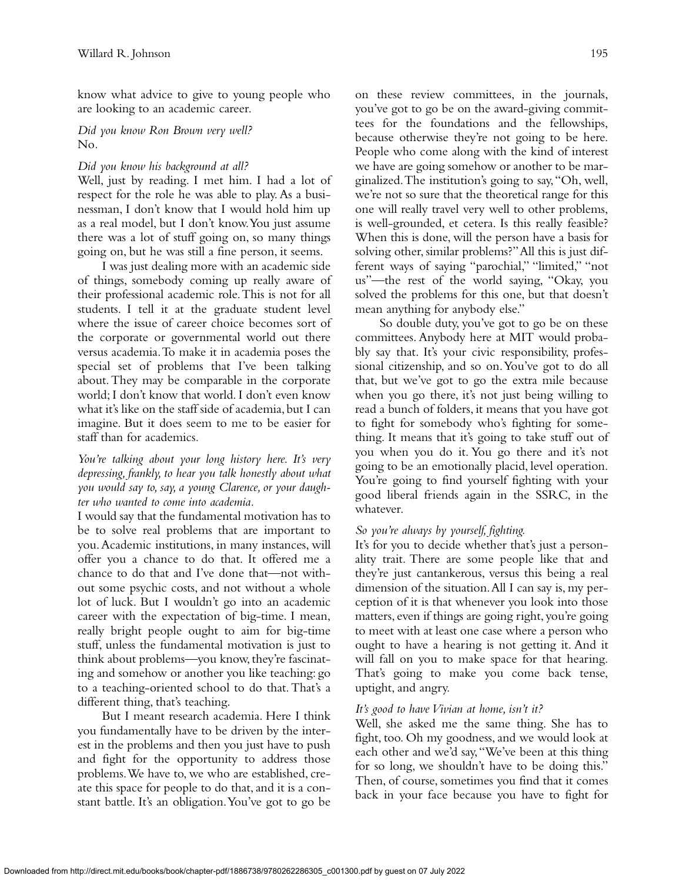know what advice to give to young people who are looking to an academic career.

## *Did you know Ron Brown very well?*  No*.*

### *Did you know his background at all?*

Well, just by reading. I met him. I had a lot of respect for the role he was able to play. As a businessman, I don't know that I would hold him up as a real model, but I don't know.You just assume there was a lot of stuff going on, so many things going on, but he was still a fine person, it seems.

I was just dealing more with an academic side of things, somebody coming up really aware of their professional academic role.This is not for all students. I tell it at the graduate student level where the issue of career choice becomes sort of the corporate or governmental world out there versus academia.To make it in academia poses the special set of problems that I've been talking about.They may be comparable in the corporate world; I don't know that world. I don't even know what it's like on the staff side of academia, but I can imagine. But it does seem to me to be easier for staff than for academics.

# *You're talking about your long history here. It's very depressing, frankly, to hear you talk honestly about what you would say to, say, a young Clarence, or your daughter who wanted to come into academia.*

I would say that the fundamental motivation has to be to solve real problems that are important to you.Academic institutions, in many instances, will offer you a chance to do that. It offered me a chance to do that and I've done that—not without some psychic costs, and not without a whole lot of luck. But I wouldn't go into an academic career with the expectation of big-time. I mean, really bright people ought to aim for big-time stuff, unless the fundamental motivation is just to think about problems—you know, they're fascinating and somehow or another you like teaching: go to a teaching-oriented school to do that.That's a different thing, that's teaching.

But I meant research academia. Here I think you fundamentally have to be driven by the interest in the problems and then you just have to push and fight for the opportunity to address those problems.We have to, we who are established, create this space for people to do that, and it is a constant battle. It's an obligation.You've got to go be on these review committees, in the journals, you've got to go be on the award-giving committees for the foundations and the fellowships, because otherwise they're not going to be here. People who come along with the kind of interest we have are going somehow or another to be marginalized.The institution's going to say,"Oh, well, we're not so sure that the theoretical range for this one will really travel very well to other problems, is well-grounded, et cetera. Is this really feasible? When this is done, will the person have a basis for solving other, similar problems?"All this is just different ways of saying "parochial," "limited," "not us"—the rest of the world saying, "Okay, you solved the problems for this one, but that doesn't mean anything for anybody else."

So double duty, you've got to go be on these committees. Anybody here at MIT would probably say that. It's your civic responsibility, professional citizenship, and so on.You've got to do all that, but we've got to go the extra mile because when you go there, it's not just being willing to read a bunch of folders, it means that you have got to fight for somebody who's fighting for something. It means that it's going to take stuff out of you when you do it. You go there and it's not going to be an emotionally placid, level operation. You're going to find yourself fighting with your good liberal friends again in the SSRC, in the whatever.

## *So you're always by yourself, fighting.*

It's for you to decide whether that's just a personality trait. There are some people like that and they're just cantankerous, versus this being a real dimension of the situation.All I can say is, my perception of it is that whenever you look into those matters, even if things are going right, you're going to meet with at least one case where a person who ought to have a hearing is not getting it. And it will fall on you to make space for that hearing. That's going to make you come back tense, uptight, and angry.

## *It's good to have Vivian at home, isn't it?*

Well, she asked me the same thing. She has to fight, too. Oh my goodness, and we would look at each other and we'd say,"We've been at this thing for so long, we shouldn't have to be doing this." Then, of course, sometimes you find that it comes back in your face because you have to fight for